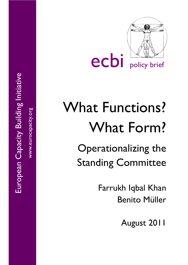

# What Functions? What Form?

Operationalizing the Standing Committee

> Farrukh Iqbal Khan Benito Müller

> > August 2011

European Capacity Building Initiative European Capacity Building Initiative

www.eurocapacity.org

www.eurocapacity.org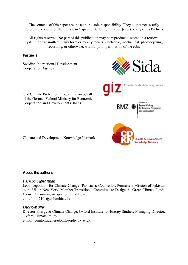The contents of this paper are the authors' sole responsibility. They do not necessarily represent the views of the European Capacity Building Initiative (ecbi) or any of its Partners.

All rights reserved. No part of this publication may be reproduced, stored in a retrieval system, or transmitted in any form or by any means, electronic, mechanical, photocopying, recording, or otherwise, without prior permission of the ecbi.

## **Partners**

Swedish International Development Cooperation Agency



GIZ Climate Protection Programme on behalf of the German Federal Ministry for Economic

Cooperation and Development (BMZ)

Climate and Development Knowledge Network

## **About the authors:**

## *Farrukh Iqbal Khan*

Lead Negotiator for Climate Change (Pakistan); Counsellor, Permanent Mission of Pakistan to the UN in New York; Member Transitional Committee to Design the Green Climate Fund; Former Chairman, Adaptation Fund Board. e-mail: fik2101@columbia.edu

## *Benito Müller*

Director Energy & Climate Change, Oxford Institute for Energy Studies; Managing Director, Oxford Climate Policy. e-mail: benito.mueller@philosophy.ox.ac.uk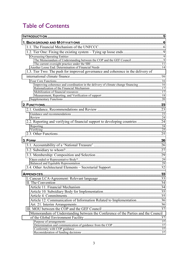# **Table of Contents**

| 1.3. Tier Two: The push for improved governance and coherence in the delivery of     |     |
|--------------------------------------------------------------------------------------|-----|
|                                                                                      |     |
| Improving coherence and coordination in the delivery of climate change financing  16 |     |
|                                                                                      |     |
|                                                                                      |     |
|                                                                                      |     |
|                                                                                      |     |
|                                                                                      |     |
|                                                                                      |     |
|                                                                                      |     |
|                                                                                      |     |
| 2.2. Reporting and verifying of financial support to developing countries 24         |     |
|                                                                                      |     |
|                                                                                      |     |
|                                                                                      |     |
|                                                                                      |     |
|                                                                                      |     |
|                                                                                      |     |
|                                                                                      |     |
|                                                                                      |     |
|                                                                                      |     |
|                                                                                      |     |
|                                                                                      | .33 |
|                                                                                      |     |
|                                                                                      |     |
|                                                                                      |     |
|                                                                                      |     |
|                                                                                      |     |
| Article 12. Communication of Information Related to Implementation36                 |     |
|                                                                                      |     |
|                                                                                      |     |
| Memorandum of Understanding between the Conference of the Parties and the Council    |     |
|                                                                                      |     |
|                                                                                      |     |
|                                                                                      |     |
|                                                                                      |     |
|                                                                                      |     |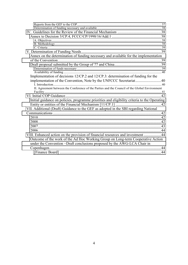| Annex on the determination of funding necessary and available for the implementation          |    |
|-----------------------------------------------------------------------------------------------|----|
|                                                                                               |    |
|                                                                                               |    |
|                                                                                               |    |
|                                                                                               |    |
| Implementation of decisions 12/CP.2 and 12/CP.3: determination of funding for the             |    |
| implementation of the Convention, Note by the UNFCCC Secretariat40                            |    |
|                                                                                               |    |
| II. Agreement between the Conference of the Parties and the Council of the Global Environment |    |
|                                                                                               |    |
|                                                                                               |    |
| Initial guidance on policies, programme priorities and eligibility criteria to the Operating  |    |
|                                                                                               |    |
| VII. Additional (Draft) Guidance to the GEF as adopted in the SBI regarding National          |    |
|                                                                                               |    |
|                                                                                               |    |
|                                                                                               |    |
|                                                                                               |    |
|                                                                                               |    |
| VIII. Enhanced action on the provision of financial resources and investment 44               |    |
|                                                                                               |    |
| Outcome of the work of the Ad Hoc Working Group on Long-term Cooperative Action               |    |
| under the Convention -Draft conclusions proposed by the AWG-LCA Chair in                      |    |
|                                                                                               | 44 |
|                                                                                               |    |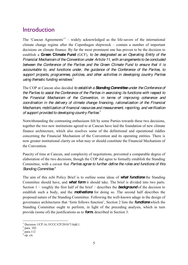## <span id="page-4-0"></span>**Introduction**

The 'Cancun Agreements'<sup>1</sup> – widely acknowledged as the life-savers of the international climate change regime after the Copenhagen shipwreck  $-$  contain a number of important decisions on climate finance. By far the most prominent one has proven to be the decision to establish a **Green Climate Fund** (GCF)*, to be designated as an Operating Entity of the Financial Mechanism of the Convention under Article 11, with arrangements to be concluded between the Conference of the Parties and the Green Climate Fund to ensure that it is accountable to, and functions under, the guidance of the Conference of the Parties, to support projects, programmes, policies, and other activities in developing country Parties using thematic funding windows*. 2

The COP at Cancun also decided *to establish a Standing Committee under the Conference of the Parties to assist the Conference of the Parties in exercising its functions with respect to the Financial Mechanism of the Convention, in terms of improving coherence and coordination in the delivery of climate change financing, rationalization of the Financial Mechanism, mobilization of financial resources and measurement, reporting, and verification of support provided to developing country Parties*. 3

Notwithstanding the contrasting enthusiasm felt by some Parties towards these two decisions, together the two new institutions agreed to at Cancun have laid the foundation of new climate finance architecture, which also resolves some of the definitional and operational riddles concerning the Financial Mechanism of the Convention and its operating entities. There is now greater institutional clarity on what may or should constitute the Financial Mechanism of the Convention.

Paucity of time at Cancun, and complexity of negotiations, prevented a comparable degree of elaboration of the two decisions, though the COP did agree to formally establish the Standing Committee, with a caveat that *Parties agree to further define the roles and functions of this Standing Committee*. 4

The aim of this ecbi Policy Brief is to outline some ideas of *what functions* the Standing Committee should have, and *what form* it should take. The brief is divided into two parts. Section  $1$  – roughly the first half of the brief – describes the **background** of the decision to establish such a body, and the *motivations* for doing so. The second half describes the proposed nature of the Standing Committee. Following the well-known adage in the design of governance architectures that 'form follows function', Section 2 lists the **functions** which the Standing Committee ought to perform, in light of the preceding analysis, which in turn provide (some of) the justifications as to *form*, described in Section 3.

Decision 1/CP.16; FCCC/CP/2010/7/Add.1. para. 102

 $para.112$ 

 $4 \text{ pp.} \text{ cit.}$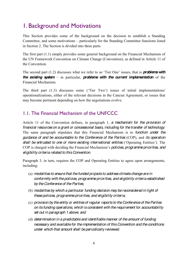# <span id="page-5-0"></span>1. Background and Motivations

This Section provides some of the background on the decision to establish a Standing Committee, and some motivations – particularly for the Standing Committee functions listed in Section 2. The Section is divided into three parts.

The first part (1.1) simply provides some general background on the Financial Mechanism of the UN Framework Convention on Climate Change (Convention), as defined in Article 11 of the Convention.

The second part  $(1.2)$  discusses what we refer to as 'Tier One' issues, that is **problems with** *the existing system* – in particular, *problems with the current implementation* of the Financial Mechanism.

The third part  $(1.3)$  discusses some ('Tier Two') issues of initial implementations/ operationalizations, either of the relevant decisions in the Cancun Agreement, or issues that may become pertinent depending on how the negotiations evolve.

## <span id="page-5-1"></span>1.1. The Financial Mechanism of the UNFCCC

Article 11 of the Convention defines, in paragraph 1, *a mechanism for the provision of financial resources on a grant or concessional basis, including for the transfer of technology*. The same paragraph stipulates that this Financial Mechanism is to *function under the guidance of and be accountable to the Conference of the Parties* (COP), and *its operation*  **shall be entrusted to one or more existing international entities** ('Operating Entities'). The COP is charged with deciding the Financial Mechanism's *policies, programme priorities, and eligibility criteria related to this Convention*.

Paragraph 3, in turn, requires the COP and Operating Entities to agree upon arrangements, including:

- (a) *modalities to ensure that the funded projects to address climate change are in conformity with the policies, programme priorities, and eligibility criteria established by the Conference of theParties*;
- (b) *modalities by which a particular funding decision may be reconsidered in light of these policies, programme priorities, and eligibility criteria*;
- (c) *provision by the entity or entities of regular reports to the Conference of the Parties on its funding operations, which is consistent with the requirement for accountability set out in paragraph 1 above*; *and*
- (d) *determination in a predictable and identifiable manner of the amount of funding necessary and available for the implementation of this Convention and the conditions under which that amount shall be periodically reviewed*.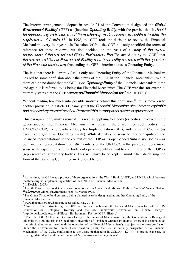The Interim Arrangements adopted in Article 21 of the Convention designated the *Global Environment Facility* (GEF) as (interim) *Operating Entity*, with the proviso that it *should be appropriately restructured and its membership made universal to enable it to fulfil the*  requirements of Article 11.<sup>6</sup> In 1998, the COP took the decision to review the Financial Mechanism every four years. In Decision 3/CP.4, the COP not only specified the terms of reference for these reviews, but also decided, on the basis of a *study of the overall*  performance of the restructured Global Environment Facility carried out by the GEF,<sup>7</sup> that *the restructured Global Environment Facility shall be an entity entrusted with the operation of the Financial Mechanism*, thus ending the GEF's interim status as Operating Entity.

The fact that there is currently (still<sup>8</sup>) only one Operating Entity of the Financial Mechanism has led to some confusion about the status of the GEF in the Financial Mechanism. While there can be no doubt that the GEF is *an Operating Entity* of the Financial Mechanism, time and again it is referred to as being *the* Financial Mechanism The GEF website, for example, currently states that the GEF 'serves as Financial Mechanism for<sup>,9</sup> the UNFCCC.<sup>10</sup>

Without reading too much into possible motives behind this confusion, $11$  let us move on to another provision in Article 11, namely that the *Financial Mechanism shall have an equitable and balanced representation of all Parties within a transparent system of governance*.

This paragraph only makes sense if it is read as applying to a body (or bodies) involved in the governance of the Financial Mechanism. At present, there are three such bodies: the UNFCCC COP; the Subsidiary Body for Implementation (SBI); and the GEF Council (as executive organ of an Operating Entity). While it makes no sense to talk of 'equitable and balanced representation' in the context of the COP or its open-ended Subsidiary Bodies  $-$  as both include representation from *all* members of the UNFCCC – the paragraph does make sense with respect to executive bodies of operating entities, and to committees of the COP as (representative) subsidiary bodies. This will have to be kept in mind when discussing the form of the Standing Committee in Section 3 below.

<sup>&</sup>lt;sup>5</sup> At the time, the GEF was a project of three organizations: the World Bank, UNDP, and UNEP, which became the three original implementing entities of the UNFCCC Financial Mechanism.

 $6$  In Decision  $3$ /CP.4

<sup>&</sup>lt;sup>7</sup> Gareth Porter, Raymond Clémençon, Waafas Ofosu-Amaah, and Michael Philips, *Study of GEF's Overall* Performance Global Environment Facility. March 1998.

<sup>&</sup>lt;sup>8</sup> The Green Climate Fund currently being planned, is to be designated as another Operating Entity of the Financial Mechanism.<br><sup>9</sup> www.thegef.org/gef/whatisgef, accessed 22 May 2011.

 $10$  'As part of the restructuring, the GEF was entrusted to become the Financial Mechanism for both the UN Convention on Biological Diversity and the UN Framework Convention on Climate Change. (http://en.wikipedia.org/wiki/Global\_Environment\_Facility#GEF\_History). <sup>11</sup> The role of the GEF as an Operating Entity of the Financial Mechanism of (i) the Convention on Biological

Diversity (CBD), and (ii) the Stockholm Convention of Persistent Organic Pollutants (where it is designated as the principal entity entrusted with the operation of the Financial Mechanism') is subject to the same confusion. Under the Convention to Combat Desertification (CCD) the GEF is actually designated as 'a Financial Mechanism' of the CCD, conforming to the usage of that term in CCD/Art. 4.2 (h): to 'promote the use of existing bilateral and multilateral Financial Mechanisms and arrangements'.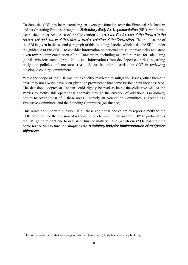To date, the COP has been exercising an oversight function over the Financial Mechanism and its Operating Entities through its *Subsidiary Body for Implementation* (SBI), which was established under Article 10 of the Convention *to assist the Conference of the Parties in the assessment and review of the effective implementation of the Convention*. The initial scope of the SBI is given in the second paragraph of this founding Article, which tasks the  $SBI$  – under the guidance of the  $COP -$  to consider information on national emission inventories and steps taken towards implementation of the Convention, including material relevant for calculating global emissions trends (Art. 12.1.a) and information (from developed countries) regarding mitigation policies and measures (Art. 12.1.b), in order to assist the COP in reviewing developed country commitments.

While the scope of the SBI was not explicitly restricted to mitigation issues, other thematic areas may not always have been given the prominence that some Parties think they deserved. The decisions adopted at Cancun could rightly be read as being the collective will of the Parties to rectify this operational anomaly through the creation of additional (subsidiary) bodies to cover (most of<sup>12</sup>) these areas – namely an Adaptation Committee, a Technology Executive Committee, and the Standing Committee (on finance).

This raises an important question: if all these additional bodies are to report directly to the COP, what will be the division of responsibilities between them and the SBI? In particular, is the SBI going to continue to deal with finance matters? If so, which ones? Or, has the time come for the SBI to function simply as the *subsidiary body for implementation of mitigation objectives*?

<sup>&</sup>lt;sup>12</sup> The only major theme that was not given its own (subsidiary) body being capacity building.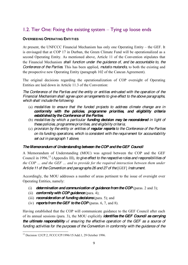## <span id="page-8-0"></span>1.2. Tier One: Fixing the existing system  $-$  Tying up loose ends

## <span id="page-8-1"></span>**OVERSEEING OPERATING ENTITIES**

At present, the UNFCCC Financial Mechanism has only one Operating Entity  $-$  the GEF. It is envisaged that at COP 17 in Durban, the Green Climate Fund will be operationalized as a second Operating Entity. As mentioned above, Article 11 of the Convention stipulates that the Financial Mechanism *shall function under the guidance of, and be accountable to, the Conference of the Parties*. This has been applied, *mutatis mutandis*, to both the existing and the prospective new Operating Entity (paragraph 102 of the Cancun Agreement).

The original decisions regarding the operationalization of COP oversight of Operating Entities are laid down in Article 11.3 of the Convention:

*The Conference of the Parties and the entity or entities entrusted with the operation of the Financial Mechanism shall agree upon arrangements to give effect to the above paragraphs, which shall include the following*:

- (a) *modalities to ensure that the funded projects to address climate change are in conformity with the policies, programme priorities, and eligibility criteria established by the Conference of the Parties*;
- (b) *modalities by which a particular funding decision may be reconsidered in light of these policies, programme priorities, and eligibility criteria*;
- (c) *provision by the entity or entities of regular reports to the Conference of the Parties on its funding operations, which is consistent with the requirement for accountability set out in paragraph 1 above*;

## <span id="page-8-2"></span>**The Memorandum of Understanding between the COP and the GEF Council**

A Memorandum of Understanding (MOU) was agreed between the COP and the GEF Council in 1996,<sup>13</sup> (Appendix III), *to give effect to the respective roles and responsibilities of the COP*  $\ldots$  and the GEF  $\ldots$  and to provide for the required interaction between them under *Article 11 of the Convention and paragraphs 26 and 27 of the* [GEF] *Instrument.*

Accordingly, the MOU addresses a number of areas pertinent to the issue of oversight over Operating Entities, namely:

- (i) *determination and communication of guidance from the COP* (paras. 2 and 3);
- (ii) *conformity with COP guidance*(para. 4);
- (iii) *reconsideration of funding decisions* (para. 5); and
- (iv) *reports from the GEF to the COP* (paras. 6, 7, and 8).

Having established that the COP will communicate guidance to the GEF Council after each of its annual sessions (para. 3), the MOU explicitly *identifies the GEF Council as carrying the ultimate responsibility* of *ensuring the effective operation of the GEF as a source of funding activities for the purposes of the Convention in conformity with the guidance of the* 

 <sup>13</sup> Decision 12/CP.2, FCCC/CP/1996/15/Add.1, 29 October 1996.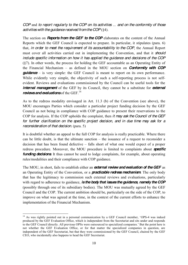*COP* and *to report regularly to the COP on its activities « and on the conformity of those activities with the guidance received from the COP* (§4).

The section on *Reports from the GEF to the COP* elaborates on the content of the Annual Reports which the GEF Council is expected to prepare. In particular, it stipulates (para. 6) that, *in order to meet the requirement of its accountability to the COP*, the Annual Report must cover all activities carried out in implementing the Convention, and that it *should include specific information on how it has applied the guidance and decisions of the COP*  (§7). In other words, the process for holding the GEF accountable as an Operating Entity of the Financial Mechanism  $-$  as defined in the MOU section on **Conformity with COP** *guidance* – is very simple: the GEF Council is meant to report on its own performance. While evidently very simple, the objectivity of such a self-reporting process is not selfevident. Reviews and evaluations commissioned by the Council can be useful tools for the *internal management* of the GEF by its Council, they cannot be a substitute for *external reviews and evaluations*of the GEF.<sup>14</sup>

As to the redress modality envisaged in Art. 11.3 (b) of the Convention (see above), the MOU encourages Parties which consider a particular project funding decision by the GEF Council as not being in compliance with COP guidance to present their reservations to the COP for analysis. If the COP upholds the complaint, then *it may ask the Council of the GEF for further clarification on the specific project decision, and in due time may ask for a reconsideration of that decision*. (para. 5)

It is doubtful whether an appeal to the full COP for analysis is really practicable. Where there can be little doubt, is that the ultimate sanction  $-$  the issuance of a request to reconsider a decision that has been found defective  $-$  falls short of what one would expect of a proper redress procedure. Moreover, the MOU procedure is limited to complaints about *specific funding decisions*. It thus cannot be used to lodge complaints, for example, about operating rules/modalities and their compliance with COP guidance.

The MOU, in short, fails to establish either an *external review and evaluation of the GEF* as an Operating Entity of the Convention, or a *practicable redress mechanism*. The only body that has the legitimacy to commission such external reviews and evaluations, particularly with regard to adherence to guidance, *is the body that issues the guidance, namely the COP* (possibly through one of its subsidiary bodies). The MOU was mutually agreed by the GEF Council and the COP. The current ambition should be, particularly on the side of the COP, to improve on what was agreed at the time, in the context of the current efforts to enhance the implementation of the Financial Mechanism.

<sup>&</sup>lt;sup>14</sup> As was rightly pointed out in a personal communication by a GEF Council member, 'OPS-4 was indeed produced by the GEF Evaluation Office, which is independent from the Secretariat and sits under and responds to the GEF Council directly. All previous OPSs were outsourced to specialized companies.' But the point here is not whether the GEF Evaluation Office, or for that matter the specialized companies in question, are independent of the GEF Secretariat, but that they were commissioned by the GEF Council, chaired by the GEF CEO, who incidentally also happens to head the GEF Secretariat.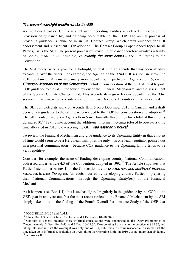## <span id="page-10-0"></span>*The current oversight practice under the SBI*

As mentioned earlier, COP oversight over Operating Entities is defined in terms of the provision of guidance by, and of being accountable to, the COP. The annual process of providing guidance is launched in an SBI Contact Group, which drafts guidance for SBI endorsement and subsequent COP adoption. The Contact Group is open-ended (open to all Parties), as is the SBI. The present process of providing guidance therefore involves a trinity of bodies, made up (in principle) of **exactly the same actors**  $-$  the 195 Parties to the Convention.

The SBI meets twice a year for a fortnight, to deal with an agenda that has been steadily expanding over the years. For example, the Agenda of the 32nd SBI session, in May/June 2010, contained 19 items and many more sub-items. In particular, Agenda Item 5, on the *Financial Mechanism of the Convention*, included consideration of the GEF Annual Report, COP guidance to the GEF, the fourth review of the Financial Mechanism, and the assessment of the Special Climate Change Fund. This Agenda item grew by one sub-item at the 33rd session in Cancun, where consideration of the Least Developed Countries Fund was added.

The SBI completed its work on Agenda Item 5 on 3 December 2010 in Cancun, and a draft decision on guidance to the GEF was forwarded to the COP for consideration and adoption.<sup>15</sup> The SBI Contact Group on Agenda Item 5 met formally three times for a total of three hours during 2010.<sup>16</sup> Taking into account the additional informal meetings (closed to observers), the time allocated in 2010 to overseeing the GEF *was less than 9 hours*<sup>17</sup>

To review the Financial Mechanism and give guidance to its Operating Entity in that amount of time would seem to be a Herculean task, possible only  $-$  as one lead negotiator pointed out in a personal communication  $-$  because COP guidance to the Operating Entity tends to be very repetitive.

Consider, for example, the issue of funding developing country National Communications addressed under Article 4.3 of the Convention, adopted in  $1992$ <sup>18</sup>. The Article stipulates that Parties listed under Annex II of the Convention are to *provide new and additional financial resources to meet the agreed full costs* incurred by developing country Parties in preparing their National Communications, through the Operating Entity(ies) of the Financial Mechanism.

As it happens (see Box 1.1), this issue has figured regularly in the guidance by the COP to the GEF, year in and year out. Yet the most recent review of the Financial Mechanism by the SBI simply takes note of the finding of the Fourth Overall Performance Study of the GEF that

<sup>&</sup>lt;sup>15</sup> FCCC/SBI/2010/L.39 and Add.1.<br><sup>16</sup> 2 June 10–11:30a.m., 8 June 10–11a.m., and 1 December 10–10:30a.m.<br><sup>17</sup> Contrary to general practice, these informal consultations were announced in the Daily Programmes of Cancun, namely: 2 Dec.  $10-10.45$ , and 3 Dec.  $10-11.30$ . Extrapolating from this to the practice at SBI 32, and taking into account that the oversight was only one of 3 (4) sub-items, it seems reasonable to assume that the time taken up in informal consultation on oversight of the Operating Entity in 2010 was not more than six hours. <sup>18</sup> See Annex II.1.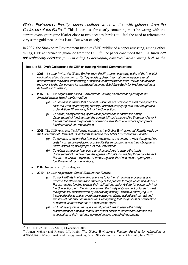*Global Environment Facility support continues to be in line with guidance from the*  Conference of the Parties<sup>19</sup> This is curious, for clearly something must be wrong with the current oversight regime if after close to two decades Parties still feel the need to reiterate the very same guidance on this issue. But what exactly?

In 2007, the Stockholm Environment Institute (SEI) published a paper assessing, among other things, GEF adherence to guidance from the COP*.* <sup>20</sup> The paper concluded that GEF funds *are not technically adequate for responding to developing countries' needs, owing both to the* 

## **Box 1.1: SBI Draft Guidance to the GEF on funding National Communications**

- **2006**: The COP *invites the Global Environment Facility, as an operating entity of the financial*   $\bullet$ *Phiff Rightaphism of the Convention, ... (b) To provide updated information on the operational procedures for the expedited financing of national communications from Parties not included in Annex I to the Convention, for consideration by the Subsidiary Body for Implementation at its twenty-sixth session;*
- **2007**: The COP *requests the Global Environment Facility, as an operating entity of the financial mechanism of the Convention:*
	- *(g) To continue to ensure that financial resources are provided to meet the agreed full costs incurred by developing country Parties in complying with their obligations under Article 12, paragraph 1, of the Convention;*
	- *(j) To refine, as appropriate, operational procedures to ensure the timely disbursement of funds to meet the agreed full costs incurred by those non-Annex I Parties that are in the process of preparing their third and, where appropriate, fourth national communications*;
- **2008**: The COP *reiterates the following requests to the Global Environmental Facility made by the Conference of Parties at its thirteenth session to the Global Environmental Facility:* 
	- *(a) To continue to ensure that financial resources are provided to meet the agreed full costs incurred by developing country Parties in complying with their obligations under Article 12, paragraph 1, of the Convention;*
	- *(b) To refine, as appropriate, operational procedures to ensure the timely disbursement of funds to meet the agreed full costs incurred by those non-Annex I Parties that are in the process of preparing their third and, where appropriate, fourth national communications;*
- **2009**: No guidance (Copenhagen)
- **2010**: The COP *requests the Global Environment Facility:* 
	- *(c) To work with its implementing agencies to further simplify its procedures and improve the effectiveness and efficiency of the process through which non-Annex I Parties receive funding to meet their obligations under Article 12, paragraph 1, of the Convention, with the aim of ensuring the timely disbursement of funds to meet the agreed full costs incurred by developing country Parties in complying with these obligations, and to avoid gaps between enabling activities of current and subsequent national communications, recognizing that the process of preparation of national communications is a continuous cycle;*
	- *(d) To finalize any remaining operational procedures to ensure the timely disbursement of funds for those Parties that decide to access resources for the preparation of their national communications through direct access;*

<sup>&</sup>lt;sup>19</sup> FCCC/SBI/2010/L.38/Add.1, 4 December 2010.<br><sup>20</sup> Annett Möhner and Richard J.T. Klein, *The Global Environment Facility: Funding for Adaptation or Adapting to Funds?*, Climate and Energy Working Paper, Stockholm Environment Institute, June 2007.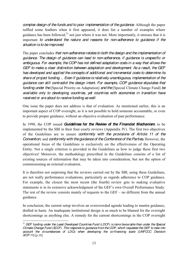*complex design of the funds and to poor implementation of the guidance*. Although the paper ruffled some feathers when it first appeared, it does list a number of examples where guidance has been followed, $^{21}$  not just where it was not. More importantly, it stresses that it is important *to understand the nature and reasons for non-adherence to guidance if the situation is to be improved*.

The paper concludes *that non-adherence relates to both the design and the implementation of guidance. The design of guidance can lead to non-adherence, if guidance is unspecific or ambiguous. For example, the COP has not defined adaptation costs in a way that allows the GEF to make a clear distinction between adaptation and development. As a result, the GEF has developed and applied the concepts of additional and incremental costs to determine its share of project funding ... Even if guidance is relatively unambiguous, implementation of the guidance can still contradict the design intent. For example, COP guidance stipulates that funding under the*[Special Priority on Adaptation] *and the* [Special Climate Change Fund] *be available only to developing countries, yet countries with economies in transition have received or are about to receive funding as well.*

One issue the paper does not address is that of evaluation. As mentioned earlier, this is an important aspect of COP oversight, as it is not possible to hold someone accountable, or even to provide proper guidance, without an objective evaluation of past performance.

In 1998, the COP issued *Guidelines for the Review of the Financial Mechanism*, to be implemented by the SBI in their four-yearly reviews (Appendix IV). The first two objectives of the Guidelines are to ensure *conformity with the provisions of Article 11 of the Convention;* and *conformity with the guidance of the Conference of the Parties.* However, the operational focus of the Guidelines is exclusively on the effectiveness of the Operating Entity. Not a single criterion is provided in the Guidelines as how to judge these first two objectives! Moreover, the methodology prescribed in the Guidelines consists of a list of existing sources of information that may be taken into consideration, but not the option of commissioning an external evaluation.

It is therefore not surprising that the reviews carried out by the SBI, using these Guidelines, are not really performance evaluations, particularly as regards adherence to COP guidance. For example, the closest the most recent (the fourth) review gets to making evaluative statements is in its extensive acknowledgment of the GEF's own Overall Performance Study. The rest of the review consists mainly of requests to the  $GEF - no$  different from the annual guidance.

In conclusion, the current setup involves an overcrowded agenda leading to mantra guidance, drafted in haste. An inadequate institutional design is as much to be blamed for the oversight shortcomings as anything else. A remedy for the current shortcomings in the COP oversight

 <sup>21</sup> *GEF funding under the Least Developed Countries Fund* (*LDCF*) *is more favourable than under the Special Climate Change Fund* (*SCCF*)*. This responds to guidance from the COP, which requested the GEF to take into account the circumstances of LDCs when developing the co-financing scale (UNFCCC Decision 3/CP.11)*.[p.10].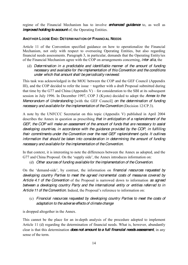regime of the Financial Mechanism has to involve *enhanced guidance* to, as well as *improved holding to account* of, the Operating Entities.

## <span id="page-13-0"></span>**ANOTHER LOOSE END: DETERMINATION OF FINANCIAL NEEDS**

Article 11 of the Convention specified guidance on how to operationalize the Financial Mechanism, not only with respect to overseeing Operating Entities, but also regarding financial needs assessments. Paragraph 3, in particular, demands that the Operating Entity/ies of the Financial Mechanism agree with the COP on arrangements concerning, *inter alia*, the

(d) *Determination in a predictable and identifiable manner of the amount of funding necessary and available for the implementation of this Convention and the conditions under which that amount shall be periodically reviewed*.

This task was acknowledged in the MOU between the COP and the GEF Council (Appendix III), and the COP decided to refer the issue  $-$  together with a draft Proposal submitted during that time by the G77 and China (Appendix V) – for consideration to the SBI at its subsequent session in July 1996. In December 1997, COP 3 (Kyoto) decided to adopt the *Annex to the Memorandum of Understanding* [with the GEF Council] *on the determination of funding necessary and available for the implementation of the Convention* (Decision 12/CP.3).

A note by the UNFCCC Secretariat on this topic (Appendix V) published in April 2004 describes the Annex in question as prescribing *that in anticipation of a replenishment of the GEF, the COP will make an assessment of the amount of funds that are necessary to assist developing countries, in accordance with the guidance provided by the COP, in fulfilling their commitments under the Convention over the next GEF replenishment cycle. It outlines information that should be taken into consideration in determining the amount of funding necessary and available for the implementation of the Convention*.

In that context, it is interesting to note the differences between the Annex as adopted, and the G77 and China Proposal. On the 'supply side', the Annex introduces information on:

(d) *Other sources of funding available for the implementation of the Convention*.

On the 'demand-side', by contrast, the information on *financial resources requested by developing country Parties to meet the agreed incremental costs of measures covered by Article 4.1 of the Convention* of the Proposal is narrowed down to information *as agreed between a developing country Party and the international entity or entities referred to in Article 11 of the Convention.* Indeed, the Proposal's reference to information on:

(c) *Financial resources requested by developing country Parties to meet the costs of adaptation to the adverse effects of climate change*

is dropped altogether in the Annex.

This cannot be the place for an in-depth analysis of the procedure adopted to implement Article 11 (d) regarding the determination of financial needs. What is, however, abundantly clear is that this determination *doesnot amount to a full financial needs assessment*, in any sense of the term.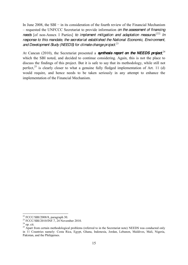In June 2008, the SBI – in its consideration of the fourth review of the Financial Mechanism ± requested the UNFCCC Secretariat to provide information *on the assessment of financing needs* [of non-Annex I Parties] *to implement mitigation and adaptation measures*. [22] *In response to this mandate, the secretariat established the National Economic, Environment, and Development Study (NEEDS) for climate change project*. 23

At Cancun (2010), the Secretariat presented a **synthesis report on the NEEDS project**,<sup>24</sup> which the SBI noted, and decided to continue considering. Again, this is not the place to discuss the findings of this project. But it is safe to say that its methodology, while still not perfect,<sup>25</sup> is clearly closer to what a genuine fully fledged implementation of Art. 11 (d) would require, and hence needs to be taken seriously in any attempt to enhance the implementation of the Financial Mechanism.

<sup>&</sup>lt;sup>22</sup> FCCC/SBI/2008/8, paragraph 30.<br><sup>23</sup> FCCC/SBI/2010/INF.7, 24 November 2010.<br><sup>24</sup> op. cit.<br><sup>25</sup> Apart from certain methodological problems (referred to in the Secretariat note) NEEDS was conducted only in 11 Countries namely: Costa Rica, Egypt, Ghana, Indonesia, Jordan, Lebanon, Maldives, Mali, Nigeria, Pakistan, and the Philippines.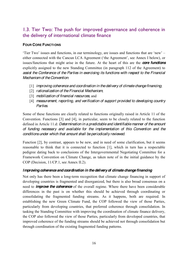## <span id="page-15-0"></span>1.3. Tier Two: The push for improved governance and coherence in the delivery of international climate finance

## <span id="page-15-1"></span>**FOUR CORE FUNCTIONS**

Tier Two' issues and functions, in our terminology, are issues and functions that are 'new'  $$ either connected with the Cancun LCA Agreement ('the Agreement', see Annex I below), or issues/functions that might arise in the future. At the heart of this are the *core functions* explicitly assigned to the new Standing Committee (in paragraph 112 of the Agreement) to *assist the Conference of the Parties in exercising its functions with respect to the Financial Mechanismof the Convention*:

- [1] *improving coherence and coordination in the delivery of climate change financing*;
- [2] *rationalization of the Financial Mechanism*;
- [3] *mobilization of financial resources*; and
- [4] *measurement, reporting, and verification of support provided to developing country Parties*.

Some of these functions are clearly related to functions originally raised in Article 11 of the Convention. Functions [3] and [4], in particular, seem to be closely related to the function defined in Article 11.d: *Determination in a predictable and identifiable manner of the amount of funding necessary and available for the implementation of this Convention and the conditions under which that amount shall be periodically reviewed*.

Function [2], by contrast, appears to be new, and in need of some clarification, but it seems reasonable to think that it is connected to function [1], which in turn has a respectable pedigree dating back to conclusions of the Intergovernmental Negotiating Committee for a Framework Convention on Climate Change, as taken note of in the initial guidance by the COP (Decision, 11/CP.1, see Annex II.2).

## <span id="page-15-2"></span>*Improving coherence and coordination in the delivery of climate change financing*

Not only has there been a long-term recognition that climate change financing in support of developing countries is fragmented and disorganized, but there is also broad consensus on a need to *improve the coherence* of the overall regime. Where there have been considerable differences in the past is on whether this should be achieved through coordinating or consolidating the fragmented funding streams. As it happens, both are required. In establishing the new Green Climate Fund, the COP followed the view of those Parties, particularly from developing countries, that preferred coherence through consolidation. In tasking the Standing Committee with improving the coordination of climate finance delivery, the COP also followed the view of those Parties, particularly from developed countries, that improved coherence of the funding streams should be achieved not through consolidation but through coordination of the existing fragmented funding patterns.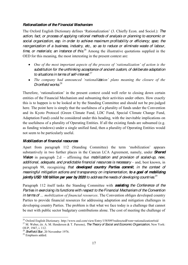## <span id="page-16-0"></span>*Rationalization of the Financial Mechanism*

The Oxford English Dictionary defines 'Rationalization' (3. Chiefly Econ. and Sociol.): *The action, fact, or process of applying rational methods of analysis or planning to economic or social organization, esp. in order to achieve maximum profitability or efficiency; spec. the reorganization of a business, industry, etc., so as to reduce or eliminate waste of labour, time, or materials; an instance of this.*<sup>26</sup> Among the illustrative quotations supplied in the OED for this meaning, the most interesting in the present context are:

- One of the most important aspects of the process of 'rationalization' of action is the *substitution for the unthinking acceptance of ancient custom, of deliberate adaptation to situations in terms of self-interest.*<sup>27</sup>
- The company had announced 'rationalization' plans meaning the closure of the *Dronfield works.*<sup>28</sup>

Therefore, 'rationalization' in the present context could well refer to closing down certain entities of the Financial Mechanism and subsuming their activities under others. How exactly this is to happen is to be looked at by the Standing Committee and should not be pre-judged here. The point here is simply that the usefulness of a plurality of funds under the Convention and its Kyoto Protocol (Green Climate Fund, LDC Fund, Special Climate Change Fund, Adaptation Fund) could be considered under this heading, with the inevitable implications on the usefulness of a plurality of Operating Entities. If all the existing funds are subsumed (e.g. as funding windows) under a single unified fund, then a plurality of Operating Entities would not seem to be particularly useful.

## <span id="page-16-1"></span>*Mobilization of financial resources*

Apart from paragraph 112 (Standing Committee) the term 'mobilization' appears substantively in two further places in the Cancun LCA Agreement, namely, under *Shared*  **Vision** in paragraph 2.d – affirming that *mobilization and provision of scaled-up, new, additional, adequate, and predictable financial resources is necessary* – and, best known, in paragraph 98, recognizing *that developed country Parties commit, in the context of meaningful mitigation actions and transparency on implementation, to a goal of mobilizing jointly USD 100 billion per year by 2020 to address the needs of developing countries.*<sup>29</sup>

Paragraph 112 itself tasks the Standing Committee with *assisting the Conference of the Parties in exercising its functions with respect to the Financial Mechanism of the Convention in terms of ... mobilization of financial resources.* The Convention obliges developed country Parties to provide financial resources for addressing adaptation and mitigation challenges in developing country Parties. The problem is that what we face today is a challenge that cannot be met with public sector budgetary contributions alone. The cost of meeting the challenge of

<sup>26</sup> Oxford English Dictionary. http://www.oed.com/view/Entry/158509?redirectedFrom=rationalization#eid <sup>27</sup> M. Weber, (tr. A. M. Henderson & T. Parsons), *The Theory of Social and Economic Organization*, New York: OUP, 1947, i. 112. <sup>28</sup> *Sheffield Star*, 20 November 1976. 29 Emphasis added.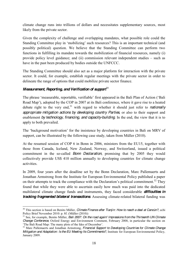climate change runs into trillions of dollars and necessitates supplementary sources, most likely from the private sector.

Given the complexity of challenge and overlapping mandates, what possible role could the Standing Committee play in 'mobilizing' such resources? This is an important technical (and possibly political) question. We believe that the Standing Committee can perform two functions in fulfilling its mandate towards the mobilization of financial resources, namely (i) provide policy level guidance; and (ii) commission relevant independent studies  $-\text{ such as}$ have in the past been produced by bodies outside the UNFCCC.

The Standing Committee should also act as a major platform for interaction with the private sector. It could, for example, establish regular meetings with the private sector in order to delineate the range of options that could mobilize private sector finance.

## <span id="page-17-0"></span>*Measurement, Reporting, and Verification of support*<sup>30</sup>

The phrase 'measurable, reportable, verifiable' first appeared in the Bali Plan of Action ('Bali Road Map'), adopted by the COP in 2007 at its Bali conference, where it gave rise to a heated debate right to the very end,<sup>31</sup> with regard to whether it should just refer to *nationally appropriate mitigation actions by developing country Parties*, or also to their support and enablement *by technology, financing, and capacity-building*. In the end, the view that it is to apply to both prevailed.

The 'background motivation' for the insistence by developing countries in Bali on MRV of support, can be illustrated by the following case study, taken from Müller (2010).

At the resumed session of COP 6 in Bonn in 2006, ministers from the EU15, together with those from Canada, Iceland, New Zealand, Norway, and Switzerland, issued a political commitment in the so-called *Bonn Declaration*, promising that by 2005 they would collectively provide US\$ 410 million annually to developing countries for climate change activities.

In 2009, four years after the deadline set by the Bonn Declaration, Marc Pallemaerts and Jonathan Armstrong from the Institute for European Environmental Policy published a paper on their attempts to track the compliance with the Declaration's political commitment.<sup>32</sup> They found that while they were able to ascertain easily how much was paid into the dedicated multilateral climate change funds and instruments, they faced considerable *difficulties in tracking fragmented bilateral transactions*. Assessing climate-related bilateral funding was

<sup>&</sup>lt;sup>30</sup> This section is based on Benito Müller, *Climate Finance after Tianjin: How to reach a deal at Cancún?*, ecbi Policy Brief November 2010: p. 8f. (Müller (2010))

<sup>&</sup>lt;sup>31</sup> See, for example, Benito Müller, *Bali 2007: On the road again! Impressions from the Thirteenth UN Climate Change Conference*, Oxford Energy and Environment Comment, February 2008, in particular the section on 'The Bali Road Map: The many plots of the Ides of December'.

<sup>&</sup>lt;sup>32</sup> Marc Pallemaerts and Jonathan Armstrong, *Financial Support to Developing Countries for Climate Change Mitigation and Adaptation: Is the EU Meeting Its Commitments?*, Institute for European Environmental Policy, January 2009.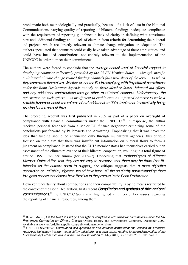problematic both methodologically and practically, because of a lack of data in the National Communications; varying quality of reporting of bilateral funding; inadequate compliance with the requirement of reporting guidelines; a lack of clarity in defining what constitutes new and additional funding; and a lack of clear uniform criteria for determining the bilateral aid projects which are directly relevant to climate change mitigation or adaptation. The authors speculated that countries could easily have taken advantage of these ambiguities, and could have included contributions not entirely relevant to the implementation of the UNFCCC in order to meet their commitments.

The authors were forced to conclude that the *average annual level of financial support to developing countries collectively provided by the 15 EU Member States ... through specific PROFOLDIFFERDIAGRADIdIddFunding channels falls well short of the level ... to which they committed themselves. Whether or not the EU is complying with its political commitment X* under the Bonn Declaration depends entirely on these Member States' bilateral aid efforts *and any additional contributions through other multilateral channels. Unfortunately, the Information on such efforts ... is insufficient to enable even an informed observer to make a reliable judgment about the volume of aid additional to 2001 levels that is effectively being provided at the present time.*

The preceding account was first published in 2009 as part of a paper on oversight of compliance with financial commitments under the UNFCCC.<sup>33</sup> In response, the author received personal feedback from a senior EU finance negotiator criticizing some of the conclusions put forward by Pallemaerts and Armstrong. Emphasizing that it was never the idea that funding should be channelled only through multilateral agencies, this critique focused on the claim that there was insufficient information on bilateral flows to form a judgment on compliance. It stated that the EU15 member states had themselves carried out an assessment of the climate relevance of their bilateral cooperation, resulting in a total figure of around US\$ 1.7bn per annum (for 2005–7). Conceding that *methodologies of different Member States differ, that they are not easy to compare, that there may be flaws (not illintended as the authors seem to suggest),* the critique suggests that *a more objective conclusion or 'reliable judgment'* would have been 'all the un-clarity notwithstanding there *is a good chance that donors have lived up to the promise in the Bonn Declaration*<sup> $\dot$ *.*</sup>

However, uncertainty about contributions and their comparability is by no means restricted to the context of the Bonn Declaration. In its recent *Compilation and synthesis of fifth national*  **communications**<sup>34</sup> the UNFCCC Secretariat highlighted a number of key issues regarding the reporting of financial resources, among them:

<sup>&</sup>lt;sup>33</sup> Benito Müller, *On the Need to Certify: Oversight of compliance with financial commitments under the UN Framework Convention on Climate Change*, Oxford Energy and Environment Comment, December 2009. Available at www.oxfordclimatepolicy.org/publications/mueller.shtml.

<sup>34</sup> UNFCCC Secretariat, *Compilation and synthesis of fifth national communications, Addendum: Financial resources, technology transfer, vulnerability, adaptation and other issues relating to the implementation of the Convention by Parties included in Annex I to the Convention*, 20 May 2011, FCCC/SBI/2011/INF.1/Add.2.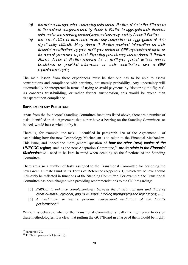- *(d) the main challenges when comparing data across Parties relate to the differences in the sectoral categories used by Annex II Parties to aggregate their financial data, and in the reporting periods/years and currency used by Annex II Parties;*
- *(e) the use of different time bases makes any comparison or aggregation of data significantly difficult. Many Annex II Parties provided information on their financial contributions by year, multi-year period or GEF replenishment cycle, or for several years over a period. Reporting periods vary across Annex II Parties. Several Annex II Parties reported for a multi-year period without annual breakdown or provided information on their contributions over a GEF replenishment cycle;*

The main lesson from these experiences must be that one has to be able to assess contributions and compliance with certainty, not merely probability. Any uncertainty will automatically be interpreted in terms of trying to avoid payments by 'doctoring the figures'. As concerns trust-building, or rather further trust-erosion, this would be worse than transparent non-compliance.

## <span id="page-19-0"></span>**SUPPLEMENTARY FUNCTIONS**

Apart from the four 'core' Standing Committee functions listed above, there are a number of tasks identified in the Agreement that either have a bearing on the Standing Committee, or indeed, would best carried out by it.

There is, for example, the task – identified in paragraph 128 of the Agreement – of establishing how the new Technology Mechanism is to relate to the Financial Mechanism. This issue, and indeed the more general question of *how the other (new) bodies of the*  UNFCCC regime, such as the new Adaptation Committee,<sup>35</sup> are to relate to the Financial *Mechanism* will need to be kept in mind when deciding on the functions of the Standing Committee.

There are also a number of tasks assigned to the Transitional Committee for designing the new Green Climate Fund in its Terms of Reference (Appendix I), which we believe should ultimately be reflected in functions of the Standing Committee. For example, the Transitional Committee has been charged with providing recommendations to the COP regarding:

- [5] *methods to enhance complementarity between the Fund's activities and those of other bilateral, regional, and multilateral funding mechanisms and institutions;* and
- [6] **a** *mechanism to ensure periodic independent evaluation of the Fund's performance*. 36

While it is debatable whether the Transitional Committee is really the right place to design these methodologies, it is clear that putting the GCF/Board in charge of them would be highly

 $^{35}$  paragraph 20.  $^{36}$  TC TOR, paragraph 1 (e) & (g).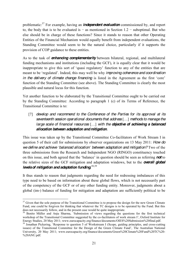problematic: <sup>37</sup> For example, having an *independent evaluation* commissioned by, and report to, the body that is to be evaluated is – as mentioned in Section  $1.2$  – suboptimal. But who else should be in charge of these functions? Since it stands to reason that other Operating Entities of the Financial Mechanism would equally benefit from independent evaluations, the Standing Committee would seem to be the natural choice, particularly if it supports the provision of COP guidance to these entities.

As to the task of *enhancing complementarity* between bilateral, regional, and multilateral funding mechanisms and institutions (including the GCF), it is equally clear that it would be inappropriate to give this sort of 'quasi regulatory' function to any of the entities that are meant to be 'regulated'. Indeed, this may well be why *improving coherence and coordination in the delivery of climate change financing* is listed in the Agreement as the first 'core' function of the Standing Committee (see above). The Standing Committee is clearly the most plausible and natural locus for this function.

Yet another function to be elaborated by the Transitional Committee ought to be carried out by the Standing Committee: According to paragraph 1 (c) of its Terms of Reference, the Transitional Committee is to:

[7] *develop and recommend to the Conference of the Parties for its approval at its seventeenth session operational documents that address* [...] *methods to manage the large scale of financial resources* [...] with the **objective of** *achieving a balanced allocation between adaptation and mitigation.*

This issue was taken up by the Transitional Committee Co-facilitators of Work Stream I in question 5 of their call for submissions by observer organizations on 13 May 2011: *How do we define and achieve 'balanced allocation' between adaptation and mitigation?* Two of the three submissions from the Research and Independent NGO (RINGO) constituency touched on this issue, and both agreed that the 'balance' in question should be seen as referring **not** to the relative sizes of the GCF mitigation and adaptation windows, but to the *overall global*  levels of mitigation and adaptation funding.<sup>38,39</sup>

It thus stands to reason that judgments regarding the need for redressing imbalances of this type need to be based on information about these global flows, which is not necessarily part of the competency of the GCF or of any other funding entity. Moreover, judgments about a global (im-) balance of funding for mitigation and adaptation are sufficiently political to be

<sup>&</sup>lt;sup>37</sup> Given that the sole purpose of the Transitional Committee is to propose the design for the new Green Climate Fund, one could be forgiven for thinking that whatever the TC designs is to be operated by the Fund. But this does not necessarily follow, and in the present case would be quite inappropriate.

<sup>&</sup>lt;sup>38</sup> Benito Müller and Anju Sharma, 'Submission of views regarding the questions for the first technical workshop of the Transitional Committee suggested by the co-facilitators of work stream I', Oxford Institute for Energy Studies, 20 May 2011; www.eurocapacity.org/finance/documents/OIES%20Submission%20final.pdf. 39 Jonathan Pickering, 'Response to question 5 of Workstream I (Scope, guiding principles, and cross-cutting

issues) of the Transitional Committee for the Design of the Green Climate Fund', The Australian National University, 20 May 2011; www.eurocapacity.org/finance/documents/Green%20Climate%20Fund%20TC%20- %20ANU.pdf.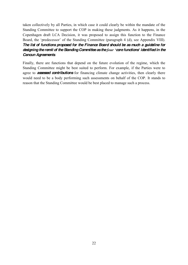taken collectively by all Parties, in which case it could clearly be within the mandate of the Standing Committee to support the COP in making these judgments. As it happens, in the Copenhagen draft LCA Decision, it was proposed to assign this function to the Finance Board, the 'predecessor' of the Standing Committee (paragraph 4 (d), see Appendix VIII). *The list of functions proposed for the Finance Board should be as much a guideline for designing the remit of the Standing Committee as the four 'core functions' identified in the Cancun Agreements*.

Finally, there are functions that depend on the future evolution of the regime, which the Standing Committee might be best suited to perform. For example, if the Parties were to agree to *assessed contributions* for financing climate change activities, then clearly there would need to be a body performing such assessments on behalf of the COP. It stands to reason that the Standing Committee would be best placed to manage such a process.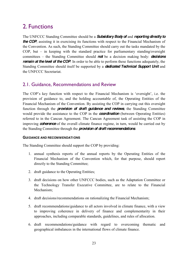# <span id="page-22-0"></span>2. Functions

The UNFCCC Standing Committee should be a *Subsidiary Body of* and *reporting directly to*  **the COP**, assisting it in exercising its functions with respect to the Financial Mechanism of the Convention. As such, the Standing Committee should carry out the tasks mandated by the COP, but  $-$  in keeping with the standard practice for parliamentary standing/oversight committees – the Standing Committee should **not** be a decision making body: *decisions remain at the level of the COP*. In order to be able to perform these functions adequately, the Standing Committee should itself be supported by a *dedicated Technical Support Unit* and the UNFCCC Secretariat.

## <span id="page-22-1"></span>2.1. Guidance, Recommendations and Review

The COP's key function with respect to the Financial Mechanism is 'oversight', i.e. the provision of guidance to, and the holding accountable of, the Operating Entities of the Financial Mechanism of the Convention. By assisting the COP in carrying out this oversight function through the *provision of draft guidance and reviews*, the Standing Committee would provide the assistance to the COP in the *coordination* (between Operating Entities) referred to in the Cancun Agreement. The Cancun Agreement task of assisting the COP in improving *coherence* of the overall climate finance regime, in turn, would be carried out by the Standing Committee through the *provision of draft recommendations*.

## <span id="page-22-2"></span>**GUIDANCE AND RECOMMENDATIONS**

The Standing Committee should support the COP by providing:

- 1. annual synthesis reports of the annual reports by the Operating Entities of the Financial Mechanism of the Convention which, for that purpose, should report directly to the Standing Committee;
- 2. draft guidance to the Operating Entities;
- 3. draft decisions on how other UNFCCC bodies, such as the Adaptation Committee or the Technology Transfer Executive Committee, are to relate to the Financial Mechanism;
- 4. draft decisions/recommendations on rationalizing the Financial Mechanism;
- 5. draft recommendations/guidance to all actors involved in climate finance, with a view to improving coherence in delivery of finance and complementarity in their approaches, including comparable standards, guidelines, and rules of allocation.
- 6. draft recommendations/guidance with regard to overcoming thematic and geographical imbalances in the international flows of climate finance.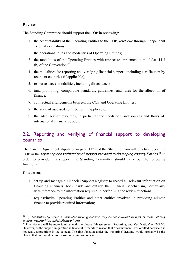## <span id="page-23-0"></span>**REVIEW**

The Standing Committee should support the COP in reviewing:

- 1. the accountability of the Operating Entities to the COP, *inter alia* through independent external evaluations;
- 2. the operational rules and modalities of Operating Entities;
- 3. the modalities of the Operating Entities with respect to implementation of Art. 11.3 (b) of the Convention;  $40$
- 4. the modalities for reporting and verifying financial support, including certification by recipient countries (if applicable);
- 5. resource access modalities, including direct access;
- 6. (and promoting) comparable standards, guidelines, and rules for the allocation of finance;
- 7. contractual arrangements between the COP and Operating Entities;
- 8. the scale of assessed contribution, if applicable;
- 9. the adequacy of resources, in particular the needs for, and sources and flows of, international financial support.

## <span id="page-23-1"></span>2.2. Reporting and verifying of financial support to developing countries

The Cancun Agreement stipulates in para. 112 that the Standing Committee is to support the COP in the *reporting and verification of support provided to developing country Parties.*<sup>41</sup> In order to provide this support, the Standing Committee should carry out the following functions:

## <span id="page-23-2"></span>**REPORTING**

- 1. set up and manage a Financial Support Registry to record all relevant information on financing channels, both inside and outside the Financial Mechanism, particularly with reference to the information required in performing the review functions;
- 2. request/invite Operating Entities and other entities involved in providing climate finance to provide required information;

 <sup>40</sup> (b) *Modalities by which a particular funding decision may be reconsidered in light of these policies, programme priorities, and eligibility criteria*; <br><sup>41</sup> Practitioners will be more familiar with the phrase 'Measurement, Reporting, and Verification' or 'MRV'.

However, as the support in question is financial, it stands to reason that 'measurement' was omitted because it is not really appropriate in the context. The first function under the 'reporting' heading would probably be the closest that one could get to measurement in this context.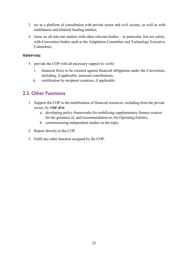- 3. act as a platform of consultation with private sector and civil society, as well as with multilateral and bilateral funding entities;
- 4. liaise on all relevant matters with other relevant bodies  $-\text{ in particular, but not solely,}$ with Convention bodies such as the Adaptation Committee and Technology Executive Committee;

## <span id="page-24-0"></span>**VERIFYING**

- 5. provide the COP with all necessary support to verify:
	- i. financial flows to be counted against financial obligations under the Convention, including, if applicable, assessed contributions;
	- ii. certification by recipient countries, if applicable.

## <span id="page-24-1"></span>2.3. Other Functions

- 1. Support the COP in the mobilization of financial resources, including from the private sector, by *inter alia*:
	- a. developing policy frameworks for mobilizing supplementary finance sources for the guidance of, and recommendation to, the Operating Entities;
	- b. commissioning independent studies on the topic.
- 2. Report directly to the COP.
- 3. Fulfil any other function assigned by the COP.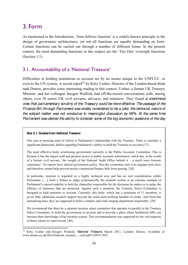# <span id="page-25-0"></span>3. Form

As mentioned in the Introduction, 'form follows function' is a widely-known principle in the design of governance architectures, yet not all functions are equally demanding on form. Certain functions can be carried out through a number of different forms. In the present context, the most demanding functions in this respect are the 'Tier One' oversight functions (Section 1.1).

## <span id="page-25-1"></span>3.1. Accountability of a 'National Treasure'

Difficulties in holding institutions to account are by no means unique to the UNFCCC, or even to the UN system. A recent report<sup>42</sup> by Kitty Ussher, Director of the London-based think tank Demos, provides some interesting reading in this context. Ussher, a former UK Treasury Minister, and her colleague Imogen Walford, had off-the-record conversations with, among others, over 30 senior UK civil servants, advisers, and ministers. They found *a unanimous view that parliamentary scrutiny of the Treasury could be more effective. The passage of the Finance Bill through Parliament was widely considered to be a joke: the technical nature of the subject matter was not conducive to meaningful discussion by MPs. At the same time Parliament was denied the ability to consider some of the big economic questions of the day* 

## **Box 3.1. Quotes from** *National Treasure*

One area in pressing need of reform is Parliament's relationship with the Treasury. There is currently a significant democratic deficit regarding Parliament's ability to hold the Treasury to account. [37]

The most effective body scrutinising government currently is the Public Accounts Committee. This is because it has the largest staff and greatest access to public accounts information, which has, in the words of a former civil servant, 'the weight of the National Audit Office behind it  $-$  a much more forensic experience'. Its reports have altered government policy. But this committee only ever engages post facto and therefore cannot help prevent poorly constructed finance bills from passing. [38]

In particular, taxation is regarded as a highly technical area and has no real consideration within Parliament.  $[\ldots]$  Such a failure to judge systematically the taxation system is an extreme example of Parliament's current inability to hold the chancellor responsible for the decisions he makes or to judge the efficacy of measures that are proposed. Against such a situation, the Treasury Select Committee is designed to hold ministers to account. Currently, this body, which has a minimum of 11 members, is given little additional research support beyond the usual hard-working handful of clerks. And from this uninspiring base, they are supposed to hold a complex and wide-ranging department responsible. [39]

We recommend that there be a separate taxation select committee that operates in parallel to the Treasury Select Committee, to hold the government to account and to provide a place where backbench MPs can increase their knowledge of the taxation system. This recommendation was supported by the vast majority of those whom we interviewed. [40]

 <sup>42</sup> Kitty Ussher and Imogen Walford, *National Treasure*, March 2011, London: Demos. Available at: www.demos.co.uk/files/National\_treasure\_-\_web.pdf?1299511925.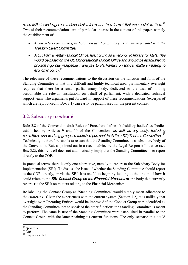*since MPs lacked rigorous independent information in a format that was useful to them*. 43 Two of their recommendations are of particular interest in the context of this paper, namely the establishment of:

- **•** *A new select committee specifically on taxation policy [...] to run in parallel with the Treasury Select Committee. ·*
- *A UK Parliamentary Budget Office, functioning as an economic library for MPs. This would be based on the US Congressional Budget Office and should be established to provide rigorous independent analysis to Parliament on topical matters relating to economic policy*. 44

The relevance of these recommendations to the discussion on the function and form of the Standing Committee is that in a difficult and highly technical area, parliamentary oversight requires that there be a small parliamentary body, dedicated to the task of holding accountable the relevant institutions on behalf of parliament, with a dedicated technical support team. The arguments put forward in support of these recommendations (excerpts of which are reproduced in Box 3.1) can easily be paraphrased for the present context.

## <span id="page-26-0"></span>3.2. Subsidiary to whom?

Rule 2.8 of the Convention draft Rules of Procedure defines 'subsidiary bodies' as 'bodies established by Articles 9 and 10 of the Convention, *as well as any body, including*  committees and working groups, established pursuant to Article 7(2)(i) of the Convention.<sup>,45</sup> Technically, it therefore stands to reason that the Standing Committee is a subsidiary body of the Convention. But, as pointed out in a recent advice by the Legal Response Initiative (see Box 3.2), this by itself does not automatically imply that the Standing Committee is to report directly to the COP.

In practical terms, there is only one alternative, namely to report to the Subsidiary Body for Implementation (SBI). To discuss the issue of whether the Standing Committee should report to the COP directly, or via the SBI, it is useful to begin by looking at the option of how it could relate to the *SBI Contact Group on the Financial Mechanism*, the body that currently reports (to the SBI) on matters relating to the Financial Mechanism.

Re-labelling the Contact Group as 'Standing Committee' would simply mean adherence to the *status quo*. Given the experiences with the current system (Section 1.2), it is unlikely that oversight over Operating Entities would be improved if the Contact Group were identified as the Standing Committee, not to speak of the other functions the Standing Committee is meant to perform. The same is true if the Standing Committee were established in parallel to the Contact Group, with the latter retaining its current functions. The only scenario that could

<sup>&</sup>lt;sup>43</sup> op. cit.:17.<br><sup>44</sup> *ibid.* Emphasis added.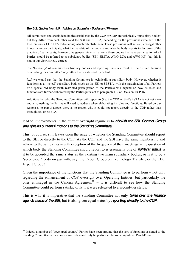#### **Box 3.2. Quotes from LRI Advice on** *Subsidiary Bodies and Finance*

All committees and specialized bodies established by the COP or CMP are technically 'subsidiary bodies' but they differ from each other (and the SBI and SBSTA) depending on the provisions (whether in the Convention or COP / CMP decisions) which establish them. These provisions will set out, amongst other things, who can participate, what the mandate of the body is and who the body reports to. In terms of the practice of participants, however, the general view is that only those bodies that have participation of all Parties should be referred to as subsidiary bodies (SBI, SBSTA, AWG-LCA and AWG-KP); but this is not, in our view, strictly correct.

The 'hierarchy' of committees/subsidiary bodies and reporting lines is a result of the explicit decision establishing the committee/body rather than established by default.

[...] we would say that the Standing Committee is technically a subsidiary body. However, whether it functions as a 'typical' subsidiary body (such as the SBI or SBSTA, with the participation of all Parties) or a specialized body (with restricted participation of the Parties) will depend on how its roles and functions are further elaborated by the Parties pursuant to paragraph 112 of Decision 1/CP.16.

Additionally, who the Standing Committee will report to (i.e. the COP or SBI/SBSTA) is not yet clear and is something the Parties will need to address when elaborating its roles and functions. Based on our responses to part 3 above, there is no reason why it could not report directly to the COP rather than through SBI or SBSTA.

lead to improvements in the current oversight regime is to *abolish the SBI Contact Group and give its current functions to the Standing Committee*.

This, of course, still leaves open the issue of whether the Standing Committee should report to the SBI or directly to the COP. As the COP and the SBI have the same membership and adhere to the same rules  $-\text{ with exception of the frequency of their meetings} - \text{the question of}$ which body the Standing Committee should report to is essentially one of **political status** is it to be accorded the same status as the existing two main subsidiary bodies, or is it to be a 'second-tier' body on par with, say, the Expert Group on Technology Transfer, or the LDC Expert Group?

Given the importance of the functions that the Standing Committee is to perform  $-$  not only regarding the enhancement of COP oversight over Operating Entities, but particularly the ones envisaged in the Cancun Agreement<sup>46</sup> – it is difficult to see how the Standing Committee could perform satisfactorily if it were relegated to a second-tier status.

This is why it is imperative that the Standing Committee not only *takes over the finance agenda items of the SBI,* but is also given equal status by *reporting directly to the COP.*

<sup>&</sup>lt;sup>46</sup> Indeed, a number of (developed country) Parties have been arguing that the sort of functions assigned to the Standing Committee in the Cancun Accords could only be performed by some high-level Panel/Forum.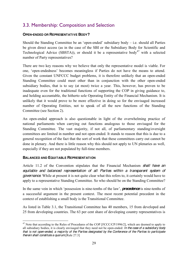## <span id="page-28-0"></span>3.3. Membership: Composition and Selection

## <span id="page-28-1"></span>**OPEN-ENDED OR REPRESENTATIVE BODY?**

Should the Standing Committee be an 'open-ended' subsidiary body – i.e. should all Parties be given direct access (as in the case of the SBI or the Subsidiary Body for Scientific and Technological Advice (SBSTA)), or should it be a representative body<sup>47</sup> with a selected number of Party representatives?

There are two key reasons why we believe that only the representative model is viable. For one, 'open-endedness' becomes meaningless if Parties do not have the means to attend. Given the constant UNFCCC budget problems, it is therefore unlikely that an open-ended Standing Committee could meet other than in conjunction with the other open-ended subsidiary bodies, that is to say (at most) twice a year. This, however, has proven to be inadequate even for the traditional functions of supporting the COP in giving guidance to, and holding accountable, the hitherto sole Operating Entity of the Financial Mechanism. It is unlikely that it would prove to be more effective in doing so for the envisaged increased number of Operating Entities, not to speak of all the new functions of the Standing Committee (see Section 2).

An open-ended approach is also questionable in light of the overwhelming practice of national parliaments when carrying out functions analogous to those envisaged for the Standing Committee. The vast majority, if not all, of parliamentary standing/oversight committees are limited in number and not open-ended. It stands to reason that this is due to a general recognition of the fact that the sort of work that these committees carry out cannot be done in plenary. And there is little reason why this should not apply to UN plenaries as well, especially if they are not populated by full-time members.

## <span id="page-28-2"></span>**BALANCED AND EQUITABLE REPRESENTATION**

Article 11.2 of the Convention stipulates that the Financial Mechanism *shall have an equitable and balanced representation of all Parties within a transparent system of governance*. While at present it is not quite clear what this refers to, it certainly would have to apply to a representative Standing Committee. So who should be on the Standing Committee?

In the same vein in which 'possession is nine-tenths of the law', **precedence** is nine-tenths of a successful argument in the present context. The most recent potential precedent in the context of establishing a small body is the Transitional Committee.

As listed in Table 3.1, the Transitional Committee has 40 members, 15 from developed and 25 from developing countries. The 63 per cent share of developing country representatives is

<sup>&</sup>lt;sup>47</sup> Note that according to the Rules of Procedures of the COP [FCCC/CP/1996/2], which are deemed to apply to all subsidiary bodies, it is clearly envisaged that they need not be open-ended: *In the case of a subsidiary body that is not open-ended, a majority of the Parties designated by the Conference of the Parties to participate therein shall constitute a quorum.*[Rule 27.3]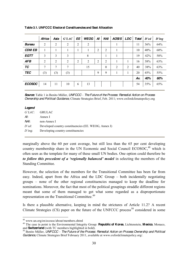|               | Africa         | Asia           | $G' L A C$ $E$ |                | <b>WEOG</b> |                |                | $\mid$ AI $\mid$ NAI $\mid$ AOSIS $\mid$ LDC $\mid$ Total $\mid$ D'ed |                |     |     | $D'$ ing |
|---------------|----------------|----------------|----------------|----------------|-------------|----------------|----------------|-----------------------------------------------------------------------|----------------|-----|-----|----------|
| <b>Bureau</b> | 2              | $\overline{2}$ | 2              | 2              | 2           |                |                |                                                                       |                | 11  | 36% | 64%      |
| <b>CDM EB</b> | 1              | 1              | 1              | 1              | 1           | 2              | $\overline{2}$ |                                                                       |                | 10  | 40% | 60%      |
| EGTT          | 3              | 3              | 3              |                | 8           |                |                |                                                                       |                | 19  | 42% | 58%      |
| <b>AFB</b>    | $\overline{2}$ | $\overline{2}$ | $\overline{2}$ | $\overline{2}$ | 2           | $\overline{2}$ | $\overline{2}$ | 1                                                                     |                | 16  | 38% | 63%      |
| TC            | 7              | 7              | 7              |                | 15          |                | $\theta$       | 2                                                                     | $\overline{2}$ | 40  | 38% | 63%      |
| <b>TEC</b>    | (3)            | (3)            | (3)            |                |             | 9              | 9              |                                                                       |                | 20  | 45% | 55%      |
|               |                |                |                |                |             |                |                |                                                                       |                | Av. | 40% | 60%      |
| <b>ECOSOC</b> | 14             | 11             | 10             | 6              | 13          |                |                |                                                                       |                | 54  | 35% | 65%      |
|               |                |                |                |                |             |                |                |                                                                       |                |     |     |          |

**Table 3.1. UNFCCC Electoral Constituencies and Seat Allocation**

#### *Legend*

|           | G'LAC: GRULAC                                        |
|-----------|------------------------------------------------------|
| Al:       | Annex I                                              |
| NAI:      | non-Annex I                                          |
| $D'ed$ :  | Developed country constituencies (EE. WEOG, Annex I) |
| $D'$ ing: | Developing country constituencies                    |
|           |                                                      |

marginally above the 60 per cent average, but still less than the 65 per cent developing country membership share in the UN Economic and Social Council ECOSOC,<sup>48</sup> which is often seen as the template for many of these small UN bodies. One option could therefore be *to follow this precedent of a 'regionally balanced' model* in selecting the members of the Standing Committee.

However, the selection of the members for the Transitional Committee has been far from easy. Indeed, apart from the Africa and the LDC Group  $-$  both incidentally negotiating groups ± none of the other regional constituencies managed to keep the deadline for nominations. Moreover, the fact that most of the political groupings straddle different regions meant that some of them managed to get what some regarded as a disproportionate representation on the Transitional Committee.<sup>49</sup>

Is there a plausible alternative, keeping in mind the strictures of Article 11.2? A recent Climate Strategies  $(CS)$  paper on the future of the UNFCCC process<sup>50</sup> considered in some

*Source***:** Table 1 in Benito Müller, *UNFCCC ± The Future of the Process: Remedial Action on Process Ownership and Political Guidance*, Climate Strategies Brief, Feb. 2011; www.oxfordclimatepolicy.org

<sup>48</sup> www.un.org/en/ecosoc/about/members.shtml <sup>49</sup> The case in point is the Environmental Integrity Group: **Republic of Korea**, Lichtenstein, **Mexico**, Monaco, and **Switzerland** (with TC members highlighted in bold).<br><sup>50</sup> Benito Müller, *UNFCCC – The Future of the Process: Remedial Action on Process Ownership and Political* 

*Guidance*, Climate Strategies Brief February 2011, available at www.oxfordclimatepolicy.org/.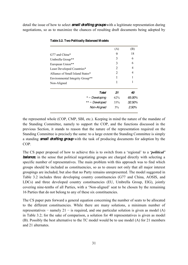detail the issue of how to select *small drafting groups*with a legitimate representation during negotiations, so as to maximize the chances of resulting draft documents being adopted by

|                                  | (A) | (B)            |
|----------------------------------|-----|----------------|
| G77 and China*                   | 9   | 18             |
| Umbrella Group**                 | 3   | 6              |
| European Union**                 | 3   | 6              |
| Least Developed Countries*       | 2   | 4              |
| Alliance of Small Island States* | 2   | $\overline{4}$ |
| Environmental Integrity Group**  | 1   | 1              |
| Non-Aligned                      | 1   |                |
| Total                            | 21  | 40             |
| $* = Developing$                 | 62% | 65.00%         |
| $***$ = Developed                | 33% | 32.50%         |
| Non-Aligned                      | 5%  | 2.50%          |
|                                  |     |                |

|  |  | Table 3.2. Two Politically Balanced Models |  |  |
|--|--|--------------------------------------------|--|--|
|--|--|--------------------------------------------|--|--|

the represented whole (COP, CMP, SBI, etc.). Keeping in mind the nature of the mandate of the Standing Committee, namely to support the COP, and the functions discussed in the previous Section, it stands to reason that the nature of the representation required on the Standing Committee is precisely the same: to a large extent the Standing Committee is simply a standing *small drafting group* with the task of producing documents for adoption by the COP.

The CS paper proposal of how to achieve this is to switch from a 'regional' to a '*political*' **balance**, in the sense that political negotiating groups are charged directly with selecting a specific number of representatives. The main problem with this approach was to find which groups should be included as constituencies, so as to ensure not only that all major interest groupings are included, but also that no Party remains unrepresented. The model suggested in Table 3.2 includes three developing country constituencies (G77 and China, AOSIS, and LDCs) and three developed country constituencies (EU, Umbrella Group, EIG), jointly covering nine-tenths of all Parties, with a 'Non-aligned' seat to be chosen by the remaining 16 Parties that do not belong to any of these six constituencies.

The CS paper puts forward a general equation concerning the number of seats to be allocated to the different constituencies. While there are many solutions, a minimum number of representatives – namely 21 – is required, and one particular solution is given as model (A) in Table 3.2; for the sake of comparison, a solution for 40 representatives is given as model (B). Possibly the best alternative to the TC model would be to use model (A) for 21 members and 21 alternates.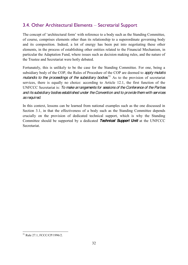## <span id="page-31-0"></span>3.4. Other Architectural Elements - Secretarial Support

The concept of 'architectural form' with reference to a body such as the Standing Committee, of course, comprises elements other than its relationship to a superordinate governing body and its composition. Indeed, a lot of energy has been put into negotiating these other elements, in the process of establishing other entities related to the Financial Mechanism, in particular the Adaptation Fund, where issues such as decision making rules, and the nature of the Trustee and Secretariat were hotly debated.

Fortunately, this is unlikely to be the case for the Standing Committee. For one, being a subsidiary body of the COP, the Rules of Procedure of the COP are deemed to *apply mutatis*  mutandis to the proceedings of the subsidiary bodies.<sup>51</sup> As to the provision of secretariat services, there is equally no choice: according to Article 12.1, the first function of the UNFCCC Secretariat is: *To make arrangements for sessions of the Conference of the Parties and its subsidiary bodies established under the Convention and to provide them with services as required*.

In this context, lessons can be learned from national examples such as the one discussed in Section 3.1, in that the effectiveness of a body such as the Standing Committee depends crucially on the provision of dedicated technical support, which is why the Standing Committee should be supported by a dedicated *Technical Support Unit* at the UNFCCC Secretariat.

 <sup>51</sup> Rule 27.1, FCCC/CP/1996/2.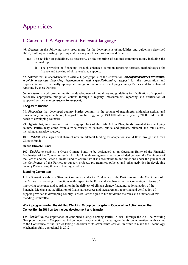# <span id="page-32-0"></span>Appendices

## <span id="page-32-1"></span>I. Cancun LCA-Agreement: Relevant language

46. *Decides* on the following work programme for the development of modalities and guidelines described above, building on existing reporting and review guidelines, processes and experiences:

- (a) The revision of guidelines, as necessary, on the reporting of national communications, including the biennial report:
	- (i) The provision of financing, through enhanced common reporting formats, methodologies for finance and tracking of climate-related support;

52. *Decides* that, in accordance with Article 4, paragraph 3, of the Convention, *developed country Parties shall provide enhanced financial, technological and capacity-building support* for the preparation and implementation of nationally appropriate mitigation actions of developing country Parties and for enhanced reporting by these Parties;

66. *Agrees* on a work programme for the development of modalities and guidelines for: facilitation of support to nationally appropriate mitigation actions through a registry; measurement, reporting and verification of supported actions **and corresponding support**...

#### **Long-term finance**

98. *Recognizes* that developed country Parties commit, in the context of meaningful mitigation actions and transparency on implementation, to a goal of mobilizing jointly USD 100 billion per year by 2020 to address the needs of developing countries;

99. *Agrees* that, in accordance with paragraph 1(e) of the Bali Action Plan, funds provided to developing country Parties may come from a wide variety of sources, public and private, bilateral and multilateral, including alternative sources;

100. *Decides* that a significant share of new multilateral funding for adaptation should flow through the Green Climate Fund;

## **Green Climate Fund**

102. *Decides* to establish a Green Climate Fund, to be designated as an Operating Entity of the Financial Mechanism of the Convention under Article 11, with arrangements to be concluded between the Conference of the Parties and the Green Climate Fund to ensure that it is accountable to and functions under the guidance of the Conference of the Parties, to support projects, programmes, policies and other activities in developing country Parties using thematic funding windows;

#### **Standing Committee**

112. *Decides* to establish a Standing Committee under the Conference of the Parties to assist the Conference of the Parties in exercising its functions with respect to the Financial Mechanism of the Convention in terms of improving coherence and coordination in the delivery of climate change financing, rationalization of the Financial Mechanism, mobilization of financial resources and measurement, reporting and verification of support provided to developing country Parties; Parties agree to further define the roles and functions of this Standing Committee.

## **Work programme for the Ad Hoc Working Group on Long-term Cooperative Action under the Convention in 2011 on technology development and transfer**

128. *Underlines* the importance of continued dialogue among Parties in 2011 through the Ad Hoc Working Group on Long-term Cooperative Action under the Convention, including on the following matters, with a view to the Conference of the Parties taking a decision at its seventeenth session, in order to make the Technology Mechanism fully operational in 2012: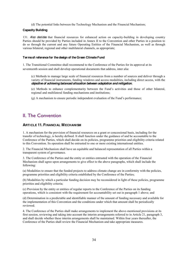(d) The potential links between the Technology Mechanism and the Financial Mechanism;

#### **Capacity Building**

131. *Also decides* that financial resources for enhanced action on capacity-building in developing country Parties should be provided by Parties included in Annex II to the Convention and other Parties in a position to do so through the current and any future Operating Entities of the Financial Mechanism, as well as through various bilateral, regional and other multilateral channels, as appropriate;

#### **Terms of reference for the design of the Green Climate Fund**

1. The Transitional Committee shall recommend to the Conference of the Parties for its approval at its seventeenth session and shall develop operational documents that address, inter alia:

(c) Methods to manage large scale of financial resources from a number of sources and deliver through a variety of financial instruments, funding windows and access modalities, including direct access, with the *objective of achieving balanced allocation between adaptation and mitigation*;

(e) Methods to enhance complementarity between the Fund's activities and those of other bilateral, regional and multilateral funding mechanisms and institutions;

 $(g)$  A mechanism to ensure periodic independent evaluation of the Fund's performance;

## <span id="page-33-0"></span>II. The Convention

## <span id="page-33-1"></span>**ARTICLE 11. FINANCIAL MECHANISM**

1. A mechanism for the provision of financial resources on a grant or concessional basis, including for the transfer of technology, is hereby defined. It shall function under the guidance of and be accountable to the Conference of the Parties, which shall decide on its policies, programme priorities and eligibility criteria related to this Convention. Its operation shall be entrusted to one or more existing international entities.

2. The Financial Mechanism shall have an equitable and balanced representation of all Parties within a transparent system of governance.

3. The Conference of the Parties and the entity or entities entrusted with the operation of the Financial Mechanism shall agree upon arrangements to give effect to the above paragraphs, which shall include the following:

(a) Modalities to ensure that the funded projects to address climate change are in conformity with the policies, programme priorities and eligibility criteria established by the Conference of the Parties;

(b) Modalities by which a particular funding decision may be reconsidered in light of these policies, programme priorities and eligibility criteria;

(c) Provision by the entity or entities of regular reports to the Conference of the Parties on its funding operations, which is consistent with the requirement for accountability set out in paragraph 1 above; and

(d) Determination in a predictable and identifiable manner of the amount of funding necessary and available for the implementation of this Convention and the conditions under which that amount shall be periodically reviewed.

4. The Conference of the Parties shall make arrangements to implement the above-mentioned provisions at its first session, reviewing and taking into account the interim arrangements referred to in Article 21, paragraph 3, and shall decide whether these interim arrangements shall be maintained. Within four years thereafter, the Conference of the Parties shall review the Financial Mechanism and take appropriate measures.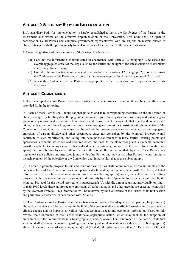## <span id="page-34-0"></span>**ARTICLE 10. SUBSIDIARY BODY FOR I MPLEMENTATION**

1. A subsidiary body for implementation is hereby established to assist the Conference of the Parties in the assessment and review of the effective implementation of the Convention. This body shall be open to participation by all Parties and comprise government representatives who are experts on matters related to climate change. It shall report regularly to the Conference of the Parties on all aspects of its work.

2. Under the guidance of the Conference of the Parties, this body shall:

- (a) Consider the information communicated in accordance with Article 12, paragraph 1, to assess the overall aggregated effect of the steps taken by the Parties in the light of the latest scientific assessments concerning climate change;
- (b) Consider the information communicated in accordance with Article 12, paragraph 2, in order to assist the Conference of the Parties in carrying out the reviews required by Article 4, paragraph 2 (d); and
- (c) Assist the Conference of the Parties, as appropriate, in the preparation and implementation of its decisions.

## <span id="page-34-1"></span>**ARTICLE 4. COMMITMENTS**

2. The developed country Parties and other Parties included in Annex I commit themselves specifically as provided for in the following:

(a) Each of these Parties shall adopt national policies and take corresponding measures on the mitigation of climate change, by limiting its anthropogenic emissions of greenhouse gases and protecting and enhancing its greenhouse gas sinks and reservoirs. These policies and measures will demonstrate that developed countries are taking the lead in modifying longer-term trends in anthropogenic emissions consistent with the objective of the Convention, recognizing that the return by the end of the present decade to earlier levels of anthropogenic emissions of carbon dioxide and other greenhouse gases not controlled by the Montreal Protocol would contribute to such modification, and taking into account the differences in these Parties' starting points and approaches, economic structures and resource bases, the need to maintain strong and sustainable economic growth, available technologies and other individual circumstances, as well as the need for equitable and appropriate contributions by each of these Parties to the global effort regarding that objective. These Parties may implement such policies and measures jointly with other Parties and may assist other Parties in contributing to the achievement of the objective of the Convention and, in particular, that of this subparagraph;

(b) In order to promote progress to this end, each of these Parties shall communicate, within six months of the entry into force of the Convention for it and periodically thereafter, and in accordance with Article 12, detailed information on its policies and measures referred to in subparagraph (a) above, as well as on its resulting projected anthropogenic emissions by sources and removals by sinks of greenhouse gases not controlled by the Montreal Protocol for the period referred to in subparagraph (a), with the aim of returning individually or jointly to their 1990 levels these anthropogenic emissions of carbon dioxide and other greenhouse gases not controlled by the Montreal Protocol. This information will be reviewed by the Conference of the Parties, at its first session and periodically thereafter, in accordance with Article 7;

(d) The Conference of the Parties shall, at its first session, review the adequacy of subparagraphs (a) and (b) above. Such review shall be carried out in the light of the best available scientific information and assessment on climate change and its impacts, as well as relevant technical, social and economic information. Based on this review, the Conference of the Parties shall take appropriate action, which may include the adoption of amendments to the commitments in subparagraphs (a) and (b) above. The Conference of the Parties, at its first session, shall also take decisions regarding criteria for joint implementation as indicated in subparagraph (a) above. A second review of subparagraphs (a) and (b) shall take place not later than 31 December 1998, and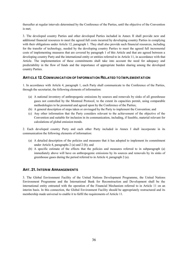thereafter at regular intervals determined by the Conference of the Parties, until the objective of the Convention is met;

3. The developed country Parties and other developed Parties included in Annex II shall provide new and additional financial resources to meet the agreed full costs incurred by developing country Parties in complying with their obligations under Article 12, paragraph 1. They shall also provide such financial resources, including for the transfer of technology, needed by the developing country Parties to meet the agreed full incremental costs of implementing measures that are covered by paragraph 1 of this Article and that are agreed between a developing country Party and the international entity or entities referred to in Article 11, in accordance with that Article. The implementation of these commitments shall take into account the need for adequacy and predictability in the flow of funds and the importance of appropriate burden sharing among the developed country Parties.

## <span id="page-35-0"></span>**ARTICLE 12. COMMUNICATION OF INFORMATION RELATED TO I MPLEMENTATION**

1. In accordance with Article 4, paragraph 1, each Party shall communicate to the Conference of the Parties, through the secretariat, the following elements of information:

- (a) A national inventory of anthropogenic emissions by sources and removals by sinks of all greenhouse gases not controlled by the Montreal Protocol, to the extent its capacities permit, using comparable methodologies to be promoted and agreed upon by the Conference of the Parties;
- (b) A general description of steps taken or envisaged by the Party to implement the Convention; and
- (c) Any other information that the Party considers relevant to the achievement of the objective of the Convention and suitable for inclusion in its communication, including, if feasible, material relevant for calculations of global emission trends.

2. Each developed country Party and each other Party included in Annex I shall incorporate in its communication the following elements of information:

- (a) A detailed description of the policies and measures that it has adopted to implement its commitment under Article 4, paragraphs 2 (a) and 2 (b); and
- (b) A specific estimate of the effects that the policies and measures referred to in subparagraph (a) immediately above will have on anthropogenic emissions by its sources and removals by its sinks of greenhouse gases during the period referred to in Article 4, paragraph 2 (a).

## <span id="page-35-1"></span>**ART. 21. INTERIM ARRANGEMENTS**

3. The Global Environment Facility of the United Nations Development Programme, the United Nations Environment Programme and the International Bank for Reconstruction and Development shall be the international entity entrusted with the operation of the Financial Mechanism referred to in Article 11 on an interim basis. In this connection, the Global Environment Facility should be appropriately restructured and its membership made universal to enable it to fulfil the requirements of Article 11.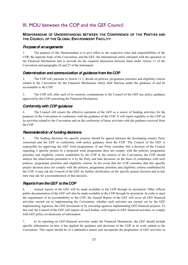## <span id="page-36-0"></span>III. MOU between the COP and the GEF Council

## <span id="page-36-1"></span>**MEMORANDUM OF UNDERSTANDING BETWEEN THE CONFERENCE OF THE PARTIES AND THE COUNCIL OF THE GLOBAL ENVIRONMENT FACILITY**

## <span id="page-36-2"></span>*Purpose of arrangements*

1. The purpose of this Memorandum is to give effect to the respective roles and responsibilities of the COP, the supreme body of the Convention, and the GEF, the international entity entrusted with the operation of the Financial Mechanism and to provide for the required interaction between them under Article 11 of the Convention and paragraphs 26 and 27 of the Instrument.

## <span id="page-36-3"></span>*Determination and communication of guidance from the COP*

2. The COP will, pursuant to Article 11.1, decide on policies, programme priorities and eligibility criteria related to the Convention for the Financial Mechanism which shall function under the guidance of and be accountable to the COP.

3. The COP will, after each of its sessions, communicate to the Council of the GEF any policy guidance approved by the COP concerning the Financial Mechanism.

## <span id="page-36-4"></span>*Conformity with COP guidance*

4. The Council will ensure the effective operation of the GEF as a source of funding activities for the purposes of the Convention in conformity with the guidance of the COP. It will report regularly to the COP on its activities related to the Convention and on the conformity of those activities with the guidance received from the COP.

#### <span id="page-36-5"></span>*Reconsideration of funding decisions*

5. The funding decisions for specific projects should be agreed between the developing country Party concerned and the GEF in conformity with policy guidance from the COP. The Council of the GEF is responsible for approving the GEF work programmes. If any Party considers that a decision of the Council regarding a specific project in a proposed work programme does not comply with the policies, programme priorities and eligibility criteria established by the COP in the context of the Convention, the COP should analyse the observations presented to it by the Party and take decisions on the basis of compliance with such policies, programme priorities and eligibility criteria. In the event that the COP considers that this specific project decision does not comply with the policies, programme priorities and eligibility criteria established by the COP, it may ask the Council of the GEF for further clarification on the specific project decision and in due time may ask for a reconsideration of that decision.

#### <span id="page-36-6"></span>*Reports from the GEF to the COP*

6. Annual reports of the GEF will be made available to the COP through its secretariat. Other official public documentation of the GEF will also be made available to the COP through its secretariat. In order to meet the requirement of its accountability to the COP, the Annual Report of the GEF will cover all GEF-financed activities carried out in implementing the Convention, whether such activities are carried out by the GEF Implementing Agencies, the GEF Secretariat or by executing agencies implementing GEF-financed projects. To this end, the Council of the GEF will require all such bodies, with respect to GEF-financed activities, to comply with GEF policy on disclosure of information.

7. In its reporting on GEF-financed activities under the Financial Mechanism, the GEF should include specific information on how it has applied the guidance and decisions of the COP in its work related to the Convention. This report should be of a substantive nature and incorporate the programme of GEF activities in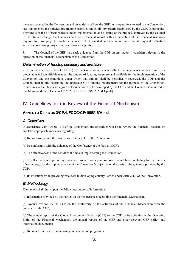the areas covered by the Convention and an analysis of how the GEF, in its operations related to the Convention, has implemented the policies, programme priorities and eligibility criteria established by the COP. In particular, a synthesis of the different projects under implementation and a listing of the projects approved by the Council in the climate change focal area as well as a financial report with an indication of the financial resources required for those projects should be included. The Council should also report on its monitoring and evaluation activities concerning projects in the climate change focal area.

8. The Council of the GEF may seek guidance from the COP on any matter it considers relevant to the operation of the Financial Mechanism of the Convention.

## <span id="page-37-0"></span>*Determination of funding necessary and available*

9. In accordance with Article 11.3(d) of the Convention, which calls for arrangements to determine in a predictable and identifiable manner the amount of funding necessary and available for the implementation of the Convention and the conditions under which that amount shall be periodically reviewed, the COP and the Council shall jointly determine the aggregate GEF funding requirements for the purpose of the Convention. Procedures to facilitate such a joint determination will be developed by the COP and the Council and annexed to this Memorandum. [Decision 12/CP.2; FCCC/CP/1996/15/Add.1:p.58]

## <span id="page-37-1"></span>IV. Guidelines for the Review of the Financial Mechanism

## <span id="page-37-2"></span>**ANNEX TO DECISION 3/CP.4, FCCC/CP/1998/16/ADD.1**

## <span id="page-37-3"></span>*A. Objectives*

In accordance with Article 11.4 of the Convention, the objectives will be to review the Financial Mechanism and take appropriate measures regarding:

(a) Its conformity with the provisions of Article 11 of the Convention;

(b) Its conformity with the guidance of the Conference of the Parties (COP);

(c) The effectiveness of the activities it funds in implementing the Convention;

(d) Its effectiveness in providing financial resources on a grant or concessional basis, including for the transfer of technology, for the implementation of the Convention's objective on the basis of the guidance provided by the COP;

(e) Its effectiveness in providing resources to developing country Parties under Article 4.3 of the Convention.

#### <span id="page-37-4"></span>*B. Methodology*

The review shall draw upon the following sources of information:

(a) Information provided by the Parties on their experiences regarding the Financial Mechanism;

(b) Annual reviews by the COP on the conformity of the activities of the Financial Mechanism with the guidance of the COP;

(c) The annual report of the Global Environment Facility (GEF) to the COP on its activities as the Operating Entity of the Financial Mechanism, the annual reports of the GEF and other relevant GEF policy and information documents;

(d) Reports from the GEF monitoring and evaluation programme;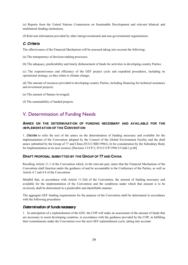(e) Reports from the United Nations Commission on Sustainable Development and relevant bilateral and multilateral funding institutions;

(f) Relevant information provided by other intergovernmental and non-governmental organizations.

## <span id="page-38-0"></span>*C. Criteria*

The effectiveness of the Financial Mechanism will be assessed taking into account the following:

(a) The transparency of decision-making processes;

(b) The adequacy, predictability and timely disbursement of funds for activities in developing country Parties;

(c) The responsiveness and efficiency of the GEF project cycle and expedited procedures, including its operational strategy, as they relate to climate change;

(d) The amount of resources provided to developing country Parties, including financing for technical assistance and investment projects;

(e) The amount of finance leveraged;

(f) The sustainability of funded projects.

## <span id="page-38-1"></span>V. Determination of Funding Needs

## <span id="page-38-2"></span>**ANNEX ON THE DETERMINATION OF FUNDING NECESSARY AND AVAILABLE FOR THE IMPLEMENTATION OF THE CONVENTION**

1. *Decides* to refer the text of the annex on the determination of funding necessary and available for the implementation of the Convention adopted by the Council of the Global Environment Facility and the draft annex submitted by the Group of 77 and China (FCCC/SBI/1996/L.4) for consideration by the Subsidiary Body for Implementation at its next session; [Decision 13/CP.2; FCCC/CP/1996/15/Add.1:p.60]

#### <span id="page-38-3"></span>**DRAFT PROPOSAL SUBMITTED BY THE GROUP OF 77 AND CHINA**

Recalling Article 11.1 of the Convention which, in the relevant part, states that the Financial Mechanism of the Convention shall function under the guidance of and be accountable to the Conference of the Parties, as well as Article 4.7 and 4.8 of the Convention;

Mindful that, in accordance with Article 11.3(d) of the Convention, the amount of funding necessary and available for the implementation of the Convention and the conditions under which that amount is to be reviewed, shall be determined in a predictable and identifiable manner;

The aggregate GEF funding requirements for the purpose of the Convention shall be determined in accordance with the following procedures

## <span id="page-38-4"></span>*Determination of funds necessary*

1. In anticipation of a replenishment of the GEF, the COP will make an assessment of the amount of funds that are necessary to assist developing countries, in accordance with the guidance provided by the COP, in fulfilling their commitments under the Convention over the next GEF replenishment cycle, taking into account: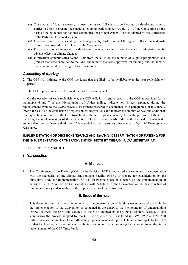- (a) The amount of funds necessary to meet the agreed full costs to be incurred by developing country Parties in order to prepare their national communications under Article 12.1 of the Convention on the basis of the guidelines for national communications of non-Annex I Parties adopted by the Conference of the Parties at its second session;
- (b) Financial resources requested by developing country Parties to meet the agreed full incremental costs of measures covered by Article 4.1 of the Convention;
- (c) Financial resources requested by developing country Parties to meet the costs of adaptation to the adverse effects of climate change;
- (d) Information communicated to the COP from the GEF on the number of eligible programmes and projects that were submitted to the GEF, the number that were approved for funding, and the number that were turned down owing to lack of resources.

## *Availability of funding*

- 2. The GEF will intimate to the COP the funds that are likely to be available over the next replenishment period.
- 3. The GEF replenishment will be based on the COP's assessment.

4. On the occasion of each replenishment, the GEF will, in its regular report to the COP as provided for in paragraphs 6 and 7 of this Memorandum of Understanding, indicate how it has responded during the replenishment cycle to the COP's previous assessment prepared in accordance with paragraph 1 of this annex, inform the COP of the conclusion of replenishment negotiations and indicate the amount of new and additional funding to be contributed to the GEF trust fund in the next replenishment cycle for the purposes of the GEF, including the implementation of the Convention. The GEF shall clearly indicate the rationale by which the amount described as "new and additional" is regarded as such, *vis-à-vis* other sources of Official Development Assistance.

## **I MPLEMENTATION OF DECISIONS 12/CP.2 AND 12/CP.3: DETERMINATION OF FUNDING FOR THE IMPLEMENTATION OF THE CONVENTION, NOTE BY THE UNFCCC SECRETARIAT**

FCCC/SBI/2004/6; 6 April 2004

## *I. Introduction*

## **A. Mandate**

1. The Conference of the Parties (COP) by its decision 5/CP.8, requested the secretariat, in consultation with the secretariat of the Global Environment Facility (GEF), to prepare for consideration by the Subsidiary Body for Implementation (SBI) at its twentieth session a report on the implementation of decisions 12/CP.2 and 12/CP.3 in accordance with Article 11 of the Convention on the determination of funding necessary and available for the implementation of the Convention.

#### **B. Scope of the note**

2. This document outlines the arrangements for the determination of funding necessary and available for the implementation of the Convention as contained in the annex to the memorandum of understanding (MOU) between the COP and Council of the GEF adopted by the COP at its third session. It also summarizes the process adopted by the GEF to replenish its Trust Fund in 1995, 1998 and 2002. It further presents the timeline of the forthcoming replenishment and a possible timeline for inputs by the COP so that the funding needs assessment can be taken into consideration during the negotiations on the fourth replenishment of the GEF Trust Fund.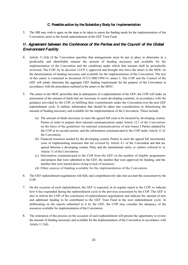#### **C. Possible action by the Subsidiary Body for Implementation**

3. The SBI may wish to agree on the steps to be taken to assess the funding needs for the implementation of the Convention, prior to the fourth replenishment of the GEF Trust Fund.

## *II. Agreement between the Conference of the Parties and the Council of the Global Environment Facility*

- 4. Article 11.3(d) of the Convention specifies that arrangements must be put in place to determine in a predictable and identifiable manner the amount of funding necessary and available for the implementation of the Convention and the conditions under which that amount shall be periodically reviewed. The COP, by its decision 12/CP.3, approved and brought into force the annex to the MOU on the determination of funding necessary and available for the implementation of the Convention. The text of this annex is contained in document FCCC/SBI/1996/14, annex I. The COP and the Council of the GEF will jointly determine the aggregate GEF funding requirements for the purpose of the Convention in accordance with the procedures outlined in the annex to the MOU.
- 5. The annex to the MOU prescribes that in anticipation of a replenishment of the GEF, the COP will make an assessment of the amount of funds that are necessary to assist developing countries, in accordance with the guidance provided by the COP, in fulfilling their commitments under the Convention over the next GEF replenishment cycle. It outlines information that should be taken into consideration in determining the amount of funding necessary and available for the implementation of the Convention. These include:
	- (a) The amount of funds necessary to meet the agreed full costs to be incurred by developing country Parties in order to prepare their national communications under Article 12.1 of the Convention on the basis of the guidelines for national communications of non-Annex I Parties adopted by the COP at its second session, and the information communicated to the COP under Article 12 of the Convention;
	- (b) Financial resources needed by the developing country Parties to meet the agreed full incremental costs of implementing measures that are covered by Article 4.1 of the Convention and that are agreed between a developing country Party and the international entity or entities referred to in Article 11 of the Convention;
	- (c) Information communicated to the COP from the GEF on the number of eligible programmes and projects that were submitted to the GEF, the number that were approved for funding, and the number that were turned down owing to lack of resources;
	- (d) Other sources of funding available for the implementation of the Convention.
- 6. The GEF replenishment negotiations will fully and comprehensively take into account the assessment by the COP.
- 7. On the occasion of each replenishment, the GEF is expected, in its regular report to the COP, to indicate how it has responded during the replenishment cycle to the previous assessment by the COP. The GEF is also to inform the COP of the conclusion of replenishment negotiations and indicate the amount of new and additional funding to be contributed to the GEF Trust Fund in the next replenishment cycle. In deliberating on the reports submitted to it by the GEF, the COP may consider the adequacy of the resources available for implementation of the Convention.
- 8. The reiteration of this process on the occasion of each replenishment will present the opportunity to review the amount of funding necessary and available for the implementation of the Convention in accordance with Article 11.3(d).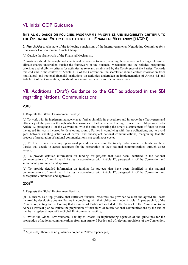## <span id="page-41-0"></span>VI. Initial COP Guidance

## <span id="page-41-1"></span>**INITIAL GUIDANCE ON POLICIES, PROGRAMME PRIORITIES AND ELIGIBILITY CRITERIA TO THE OPERATING ENTITY OR ENTITIESOF THE FINANCIAL MECHANISM [11/CP.1]**

2. *Also decides* to take note of the following conclusions of the Intergovernmental Negotiating Committee for a Framework Convention on Climate Change:

(a) Outside the framework of the Financial Mechanism,

Consistency should be sought and maintained between activities (including those related to funding) relevant to climate change undertaken outside the framework of the Financial Mechanism and the policies, programme priorities and eligibility criteria for activities as relevant, established by the Conference of the Parties. Towards this end and in the context of Article 11.5 of the Convention, the secretariat should collect information from multilateral and regional financial institutions on activities undertaken in implementation of Article 4.1 and Article 12 of the Convention; this should not introduce new forms of conditionalities.

## <span id="page-41-2"></span>VII. Additional (Draft) Guidance to the GEF as adopted in the SBI regarding National Communications

## <span id="page-41-3"></span>**2010**

4. Requests the Global Environment Facility:

(c) To work with its implementing agencies to further simplify its procedures and improve the effectiveness and efficiency of the process through which non-Annex I Parties receive funding to meet their obligations under Article 12, paragraph 1, of the Convention, with the aim of ensuring the timely disbursement of funds to meet the agreed full costs incurred by developing country Parties in complying with these obligations, and to avoid gaps between enabling activities of current and subsequent national communications, recognizing that the process of preparation of national communications is a continuous cycle;

(d) To finalize any remaining operational procedures to ensure the timely disbursement of funds for those Parties that decide to access resources for the preparation of their national communications through direct access;

(e) To provide detailed information on funding for projects that have been identified in the national communications of non-Annex I Parties in accordance with Article 12, paragraph 4, of the Convention and subsequently submitted and approved.

(e) To provide detailed information on funding for projects that have been identified in the national communications of non-Annex I Parties in accordance with Article 12, paragraph 4, of the Convention and subsequently submitted and approved.

## <span id="page-41-4"></span>**200852**

2. Requests the Global Environment Facility:

(f) To ensure, as a top priority, that sufficient financial resources are provided to meet the agreed full costs incurred by developing country Parties in complying with their obligations under Article 12, paragraph 1, of the Convention, noting and welcoming that a number of Parties not included in the Annex I to the Convention (non-Annex I Parties) plan to initiate the preparation of their third or fourth national communications by the end of the fourth replenishment of the Global Environmental Facility;

3. Invites the Global Environmental Facility to inform its implementing agencies of the guidelines for the preparation of national communications from non-Annex I Parties and of relevant provisions of the Convention,

 <sup>52</sup> Apparently, there was no guidance adopted in 2009 (Copenhagen)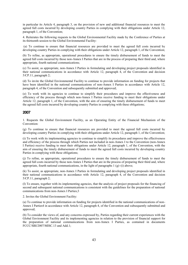in particular its Article 4, paragraph 3, on the provision of new and additional financial resources to meet the agreed full costs incurred by developing country Parties in complying with their obligations under Article 12, paragraph 1, of the Convention;

4. Reiterates the following requests to the Global Environmental Facility made by the Conference of Parties at its thirteenth session to the Global Environmental Facility:

(a) To continue to ensure that financial resources are provided to meet the agreed full costs incurred by developing country Parties in complying with their obligations under Article 12, paragraph 1, of the Convention;

(b) To refine, as appropriate, operational procedures to ensure the timely disbursement of funds to meet the agreed full costs incurred by those non-Annex I Parties that are in the process of preparing their third and, where appropriate, fourth national communications;

(c) To assist, as appropriate, non-Annex I Parties in formulating and developing project proposals identified in their national communications in accordance with Article 12, paragraph 4, of the Convention and decision 5/CP.11, paragraph 2;

(d) To invite the Global Environmental Facility to continue to provide information on funding for projects that have been identified in the national communications of non-Annex I Parties in accordance with Article 12, paragraph 4, of the Convention and subsequently submitted and approved;

(e) To work with its agencies to continue to simplify their procedures and improve the effectiveness and efficiency of the process through which non-Annex I Parties receive funding to meet their obligations under Article 12, paragraph 1, of the Convention, with the aim of ensuring the timely disbursement of funds to meet the agreed full costs incurred by developing country Parties in complying with these obligations;

## <span id="page-42-0"></span>**2007**

1. Requests the Global Environment Facility, as an Operating Entity of the Financial Mechanism of the Convention:

(g) To continue to ensure that financial resources are provided to meet the agreed full costs incurred by developing country Parties in complying with their obligations under Article 12, paragraph 1, of the Convention;

(i) To work with its implementing agencies to continue to simplify its procedures and improve the effectiveness and efficiency of the process through which Parties not included in non-Annex I to the Convention (non-Annex I Parties) receive funding to meet their obligations under Article 12, paragraph 1, of the Convention, with the aim of ensuring the timely disbursement of funds to meet the agreed full costs incurred by developing country Parties in complying with these obligations;

(j) To refine, as appropriate, operational procedures to ensure the timely disbursement of funds to meet the agreed full costs incurred by those non-Annex I Parties that are in the process of preparing their third and, where appropriate, fourth national communications, in the light of paragraphs  $1(g)$ –(i) above;

(k) To assist, as appropriate, non-Annex I Parties in formulating and developing project proposals identified in their national communications in accordance with Article 12, paragraph 4, of the Convention and decision 5/CP.11, paragraph 2;

(l) To ensure, together with its implementing agencies, that the analysis of project proposals for the financing of second and subsequent national communications is consistent with the guidelines for the preparation of national communications from non-Annex I Parties;3

2. Invites the Global Environment Facility:

(a) To continue to provide information on funding for projects identified in the national communications of non-Annex I Parties4 in accordance with Article 12, paragraph 4, of the Convention and subsequently submitted and approved;

(b) To consider the views of, and any concerns expressed by, Parties regarding their current experiences with the Global Environment Facility and its implementing agencies in relation to the provision of financial support for the preparation of national communications from non-Annex I Parties, as contained in documents FCCC/SBI/2007/MISC.13 and Add.1;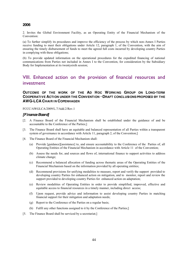#### <span id="page-43-0"></span>**2006**

2. Invites the Global Environment Facility, as an Operating Entity of the Financial Mechanism of the Convention:

(a) To further simplify its procedures and improve the efficiency of the process by which non-Annex I Parties receive funding to meet their obligations under Article 12, paragraph 1, of the Convention, with the aim of ensuring the timely disbursement of funds to meet the agreed full costs incurred by developing country Parties in complying with these obligations;

(b) To provide updated information on the operational procedures for the expedited financing of national communications from Parties not included in Annex I to the Convention, for consideration by the Subsidiary Body for Implementation at its twentysixth session;

## <span id="page-43-1"></span>VIII. Enhanced action on the provision of financial resources and investment

## <span id="page-43-2"></span>**OUTCOME OF THE WORK OF THE AD HOC WORKING GROUP ON LONG-TERM** COOPERATIVE ACTION UNDER THE CONVENTION **-DRAFT CONCLUSIONS PROPOSED BY THE AWG-LCA CHAIR IN COPENHAGEN**

#### FCCC/AWGLCA/2009/L.7/Add.2/Rev.1

#### <span id="page-43-3"></span>*[Finance Board]*

- [2. A Finance Board of the Financial Mechanism shall be established under the guidance of and be accountable to the Conference of the Parties;]
- [3. The Finance Board shall have an equitable and balanced representation of all Parties within a transparent system of governance in accordance with Article 11, paragraph 2, of the Convention;
- [4. The Finance Board of the Financial Mechanism shall:
	- (a) Provide [guidance][assistance] to, and ensure accountability to the Conference of the Parties of, all Operating Entities of the Financial Mechanism in accordance with Article 11 of the Convention;
	- (b) Assess the needs for, and sources and flows of, international finance to support activities to address climate change;
	- (c) Recommend a balanced allocation of funding across thematic areas of the Operating Entities of the Financial Mechanism based on the information provided by all operating entities;
	- (d) Recommend provisions for unifying modalities to measure, report and verify the support provided to developing country Parties for enhanced action on mitigation, and to monitor, report and review the support provided to developing country Parties for enhanced action on adaptation;
	- (e) Review modalities of Operating Entities in order to provide simplified, improved, effective and equitable access to financial resources in a timely manner, including direct access;
	- (f) Upon request, provide advice and information to assist developing country Parties in matching financial support for their mitigation and adaptation needs;
	- (g) Report to the Conference of the Parties on a regular basis;
	- (h) Fulfil any other functions assigned to it by the Conference of the Parties;]
- [5. The Finance Board shall be serviced by a secretariat;]